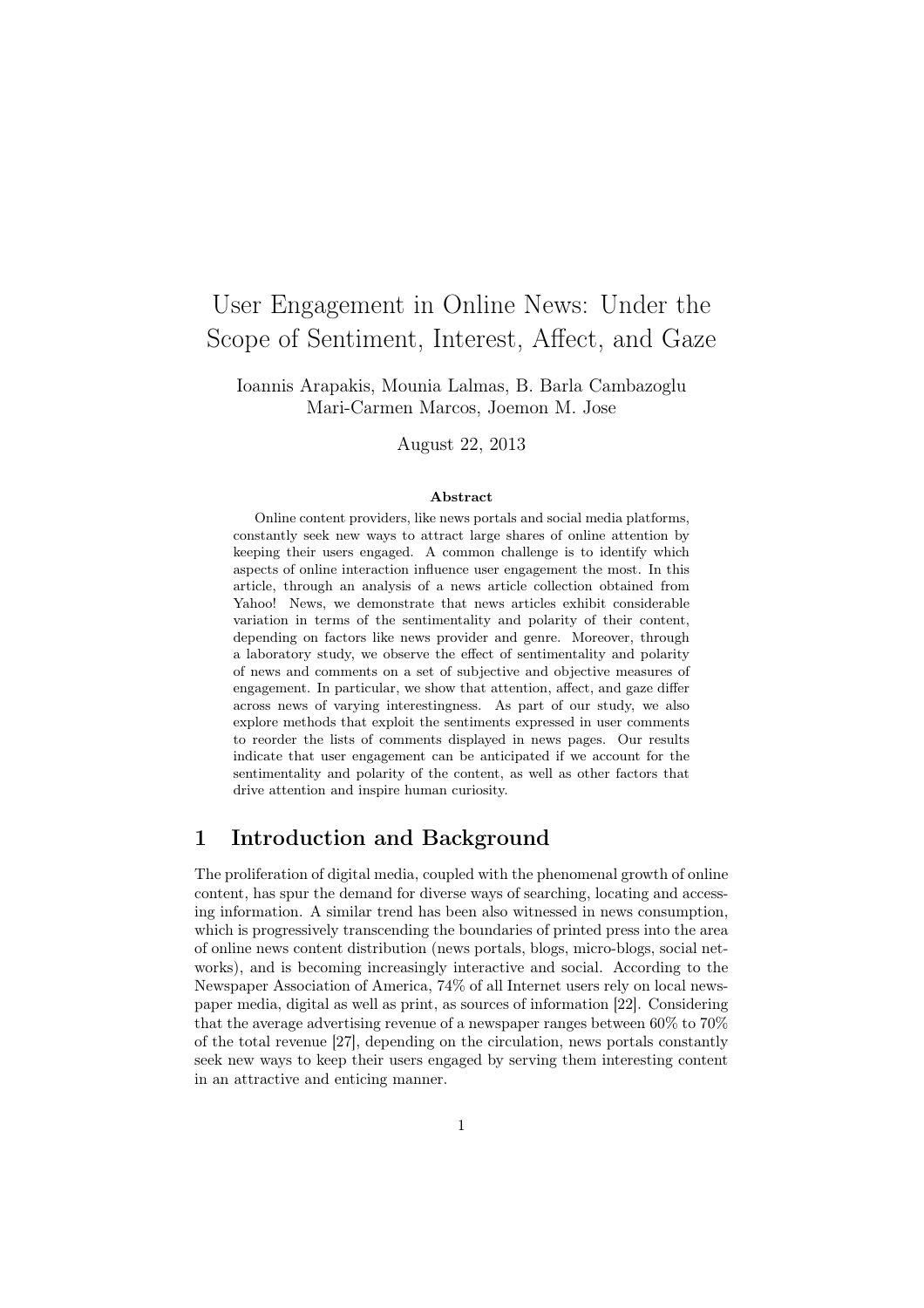# User Engagement in Online News: Under the Scope of Sentiment, Interest, Affect, and Gaze

Ioannis Arapakis, Mounia Lalmas, B. Barla Cambazoglu Mari-Carmen Marcos, Joemon M. Jose

August 22, 2013

#### Abstract

Online content providers, like news portals and social media platforms, constantly seek new ways to attract large shares of online attention by keeping their users engaged. A common challenge is to identify which aspects of online interaction influence user engagement the most. In this article, through an analysis of a news article collection obtained from Yahoo! News, we demonstrate that news articles exhibit considerable variation in terms of the sentimentality and polarity of their content, depending on factors like news provider and genre. Moreover, through a laboratory study, we observe the effect of sentimentality and polarity of news and comments on a set of subjective and objective measures of engagement. In particular, we show that attention, affect, and gaze differ across news of varying interestingness. As part of our study, we also explore methods that exploit the sentiments expressed in user comments to reorder the lists of comments displayed in news pages. Our results indicate that user engagement can be anticipated if we account for the sentimentality and polarity of the content, as well as other factors that drive attention and inspire human curiosity.

# 1 Introduction and Background

The proliferation of digital media, coupled with the phenomenal growth of online content, has spur the demand for diverse ways of searching, locating and accessing information. A similar trend has been also witnessed in news consumption, which is progressively transcending the boundaries of printed press into the area of online news content distribution (news portals, blogs, micro-blogs, social networks), and is becoming increasingly interactive and social. According to the Newspaper Association of America, 74% of all Internet users rely on local newspaper media, digital as well as print, as sources of information [22]. Considering that the average advertising revenue of a newspaper ranges between 60% to 70% of the total revenue [27], depending on the circulation, news portals constantly seek new ways to keep their users engaged by serving them interesting content in an attractive and enticing manner.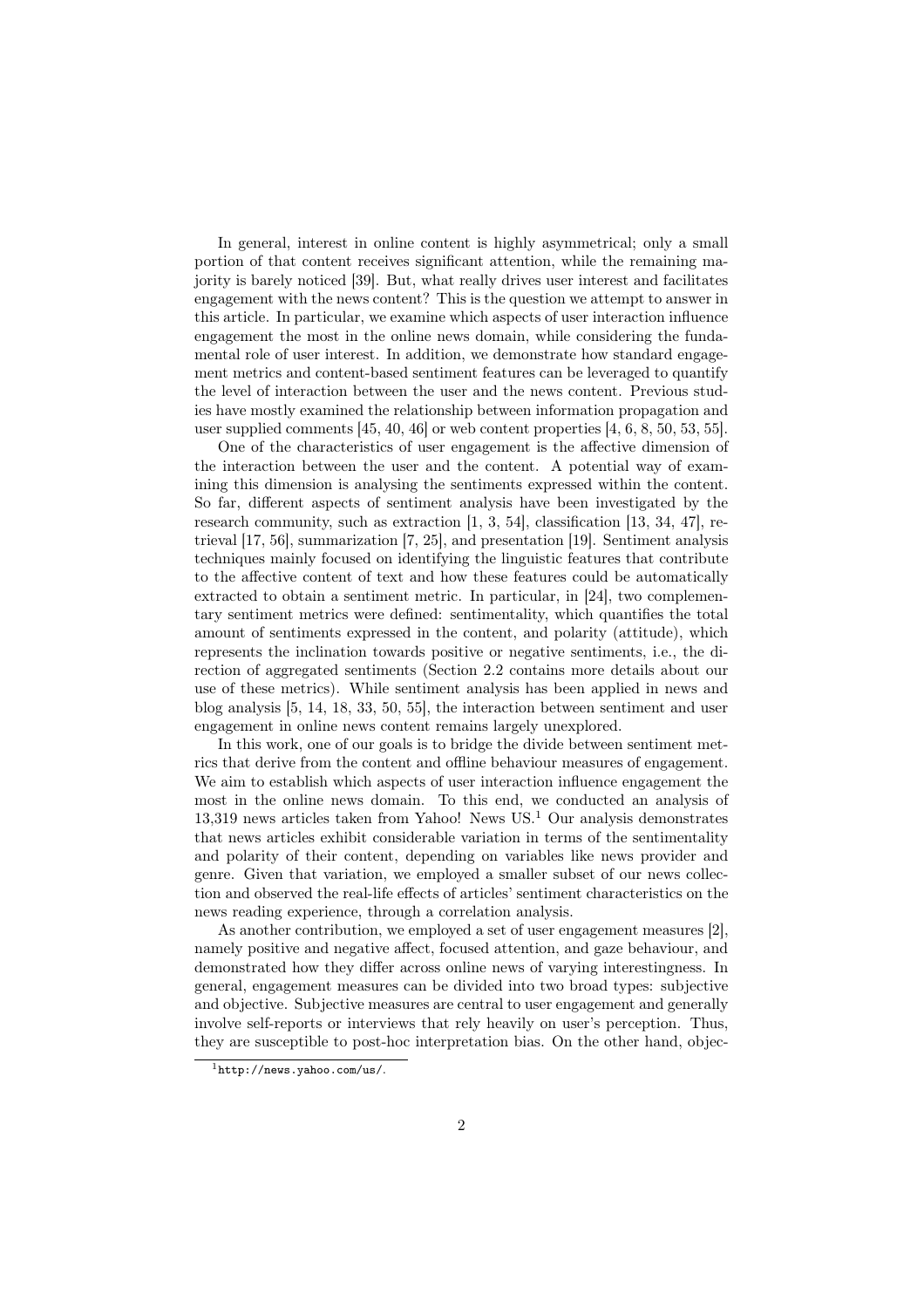In general, interest in online content is highly asymmetrical; only a small portion of that content receives significant attention, while the remaining majority is barely noticed [39]. But, what really drives user interest and facilitates engagement with the news content? This is the question we attempt to answer in this article. In particular, we examine which aspects of user interaction influence engagement the most in the online news domain, while considering the fundamental role of user interest. In addition, we demonstrate how standard engagement metrics and content-based sentiment features can be leveraged to quantify the level of interaction between the user and the news content. Previous studies have mostly examined the relationship between information propagation and user supplied comments [45, 40, 46] or web content properties [4, 6, 8, 50, 53, 55].

One of the characteristics of user engagement is the affective dimension of the interaction between the user and the content. A potential way of examining this dimension is analysing the sentiments expressed within the content. So far, different aspects of sentiment analysis have been investigated by the research community, such as extraction [1, 3, 54], classification [13, 34, 47], retrieval [17, 56], summarization [7, 25], and presentation [19]. Sentiment analysis techniques mainly focused on identifying the linguistic features that contribute to the affective content of text and how these features could be automatically extracted to obtain a sentiment metric. In particular, in [24], two complementary sentiment metrics were defined: sentimentality, which quantifies the total amount of sentiments expressed in the content, and polarity (attitude), which represents the inclination towards positive or negative sentiments, i.e., the direction of aggregated sentiments (Section 2.2 contains more details about our use of these metrics). While sentiment analysis has been applied in news and blog analysis [5, 14, 18, 33, 50, 55], the interaction between sentiment and user engagement in online news content remains largely unexplored.

In this work, one of our goals is to bridge the divide between sentiment metrics that derive from the content and offline behaviour measures of engagement. We aim to establish which aspects of user interaction influence engagement the most in the online news domain. To this end, we conducted an analysis of 13,319 news articles taken from Yahoo! News US.<sup>1</sup> Our analysis demonstrates that news articles exhibit considerable variation in terms of the sentimentality and polarity of their content, depending on variables like news provider and genre. Given that variation, we employed a smaller subset of our news collection and observed the real-life effects of articles' sentiment characteristics on the news reading experience, through a correlation analysis.

As another contribution, we employed a set of user engagement measures [2], namely positive and negative affect, focused attention, and gaze behaviour, and demonstrated how they differ across online news of varying interestingness. In general, engagement measures can be divided into two broad types: subjective and objective. Subjective measures are central to user engagement and generally involve self-reports or interviews that rely heavily on user's perception. Thus, they are susceptible to post-hoc interpretation bias. On the other hand, objec-

 $1$ http://news.yahoo.com/us/.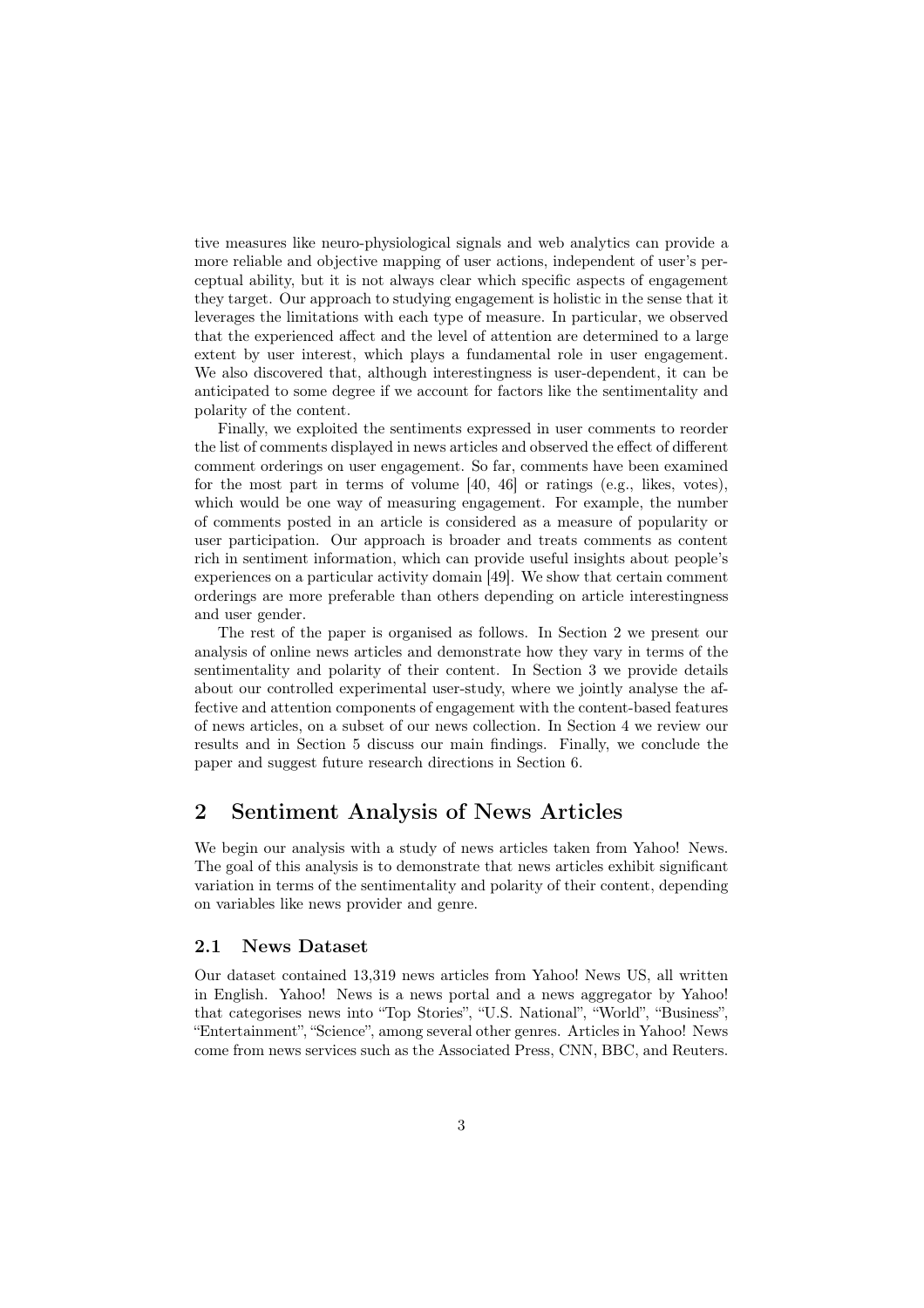tive measures like neuro-physiological signals and web analytics can provide a more reliable and objective mapping of user actions, independent of user's perceptual ability, but it is not always clear which specific aspects of engagement they target. Our approach to studying engagement is holistic in the sense that it leverages the limitations with each type of measure. In particular, we observed that the experienced affect and the level of attention are determined to a large extent by user interest, which plays a fundamental role in user engagement. We also discovered that, although interestingness is user-dependent, it can be anticipated to some degree if we account for factors like the sentimentality and polarity of the content.

Finally, we exploited the sentiments expressed in user comments to reorder the list of comments displayed in news articles and observed the effect of different comment orderings on user engagement. So far, comments have been examined for the most part in terms of volume [40, 46] or ratings (e.g., likes, votes), which would be one way of measuring engagement. For example, the number of comments posted in an article is considered as a measure of popularity or user participation. Our approach is broader and treats comments as content rich in sentiment information, which can provide useful insights about people's experiences on a particular activity domain [49]. We show that certain comment orderings are more preferable than others depending on article interestingness and user gender.

The rest of the paper is organised as follows. In Section 2 we present our analysis of online news articles and demonstrate how they vary in terms of the sentimentality and polarity of their content. In Section 3 we provide details about our controlled experimental user-study, where we jointly analyse the affective and attention components of engagement with the content-based features of news articles, on a subset of our news collection. In Section 4 we review our results and in Section 5 discuss our main findings. Finally, we conclude the paper and suggest future research directions in Section 6.

# 2 Sentiment Analysis of News Articles

We begin our analysis with a study of news articles taken from Yahoo! News. The goal of this analysis is to demonstrate that news articles exhibit significant variation in terms of the sentimentality and polarity of their content, depending on variables like news provider and genre.

### 2.1 News Dataset

Our dataset contained 13,319 news articles from Yahoo! News US, all written in English. Yahoo! News is a news portal and a news aggregator by Yahoo! that categorises news into "Top Stories", "U.S. National", "World", "Business", "Entertainment", "Science", among several other genres. Articles in Yahoo! News come from news services such as the Associated Press, CNN, BBC, and Reuters.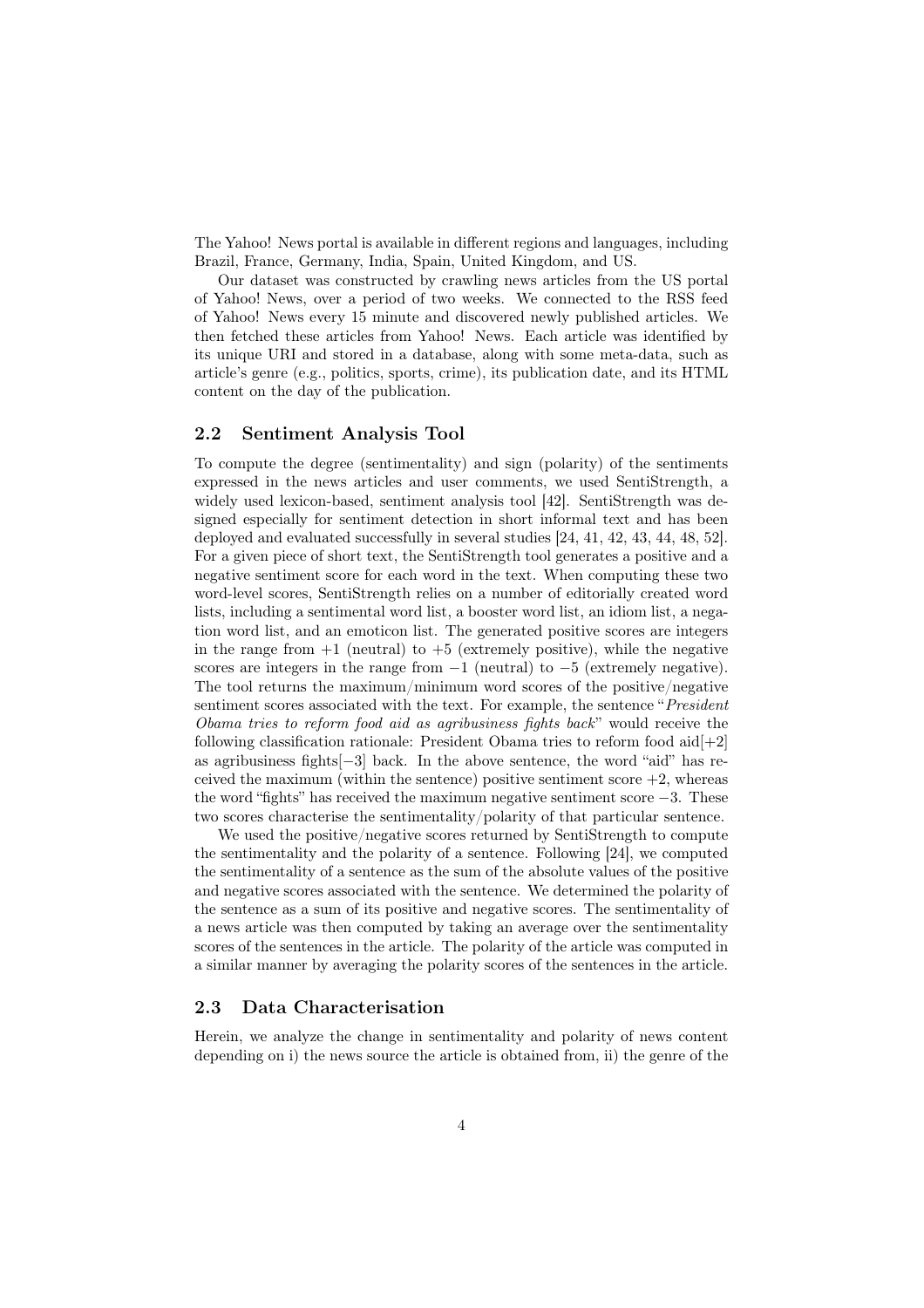The Yahoo! News portal is available in different regions and languages, including Brazil, France, Germany, India, Spain, United Kingdom, and US.

Our dataset was constructed by crawling news articles from the US portal of Yahoo! News, over a period of two weeks. We connected to the RSS feed of Yahoo! News every 15 minute and discovered newly published articles. We then fetched these articles from Yahoo! News. Each article was identified by its unique URI and stored in a database, along with some meta-data, such as article's genre (e.g., politics, sports, crime), its publication date, and its HTML content on the day of the publication.

### 2.2 Sentiment Analysis Tool

To compute the degree (sentimentality) and sign (polarity) of the sentiments expressed in the news articles and user comments, we used SentiStrength, a widely used lexicon-based, sentiment analysis tool [42]. SentiStrength was designed especially for sentiment detection in short informal text and has been deployed and evaluated successfully in several studies [24, 41, 42, 43, 44, 48, 52]. For a given piece of short text, the SentiStrength tool generates a positive and a negative sentiment score for each word in the text. When computing these two word-level scores, SentiStrength relies on a number of editorially created word lists, including a sentimental word list, a booster word list, an idiom list, a negation word list, and an emoticon list. The generated positive scores are integers in the range from  $+1$  (neutral) to  $+5$  (extremely positive), while the negative scores are integers in the range from  $-1$  (neutral) to  $-5$  (extremely negative). The tool returns the maximum/minimum word scores of the positive/negative sentiment scores associated with the text. For example, the sentence "*President Obama tries to reform food aid as agribusiness fights back*" would receive the following classification rationale: President Obama tries to reform food aid $[+2]$ as agribusiness fights  $[-3]$  back. In the above sentence, the word "aid" has received the maximum (within the sentence) positive sentiment score  $+2$ , whereas the word "fights" has received the maximum negative sentiment score  $-3$ . These two scores characterise the sentimentality/polarity of that particular sentence.

We used the positive/negative scores returned by SentiStrength to compute the sentimentality and the polarity of a sentence. Following [24], we computed the sentimentality of a sentence as the sum of the absolute values of the positive and negative scores associated with the sentence. We determined the polarity of the sentence as a sum of its positive and negative scores. The sentimentality of a news article was then computed by taking an average over the sentimentality scores of the sentences in the article. The polarity of the article was computed in a similar manner by averaging the polarity scores of the sentences in the article.

#### 2.3 Data Characterisation

Herein, we analyze the change in sentimentality and polarity of news content depending on i) the news source the article is obtained from, ii) the genre of the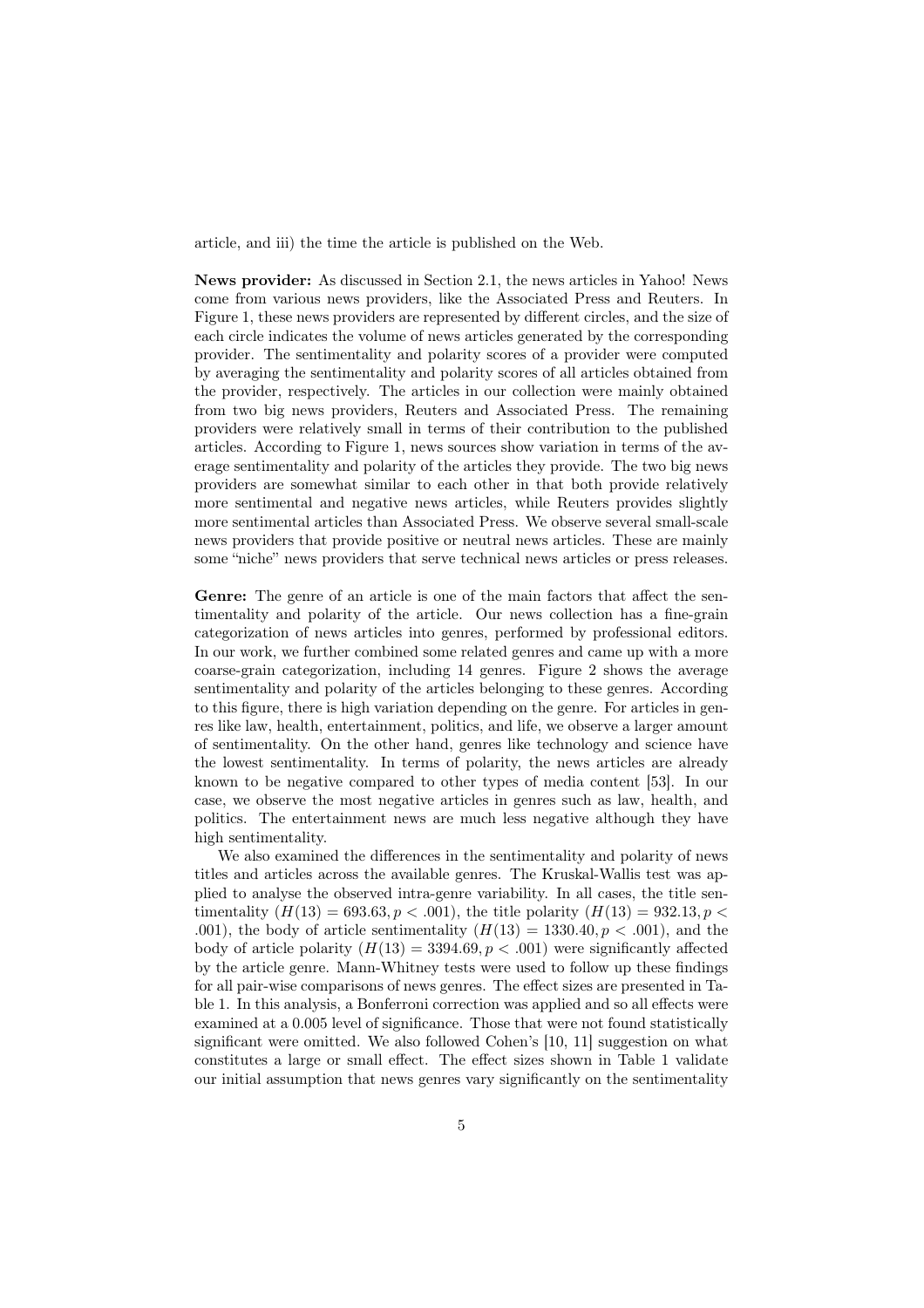article, and iii) the time the article is published on the Web.

News provider: As discussed in Section 2.1, the news articles in Yahoo! News come from various news providers, like the Associated Press and Reuters. In Figure 1, these news providers are represented by different circles, and the size of each circle indicates the volume of news articles generated by the corresponding provider. The sentimentality and polarity scores of a provider were computed by averaging the sentimentality and polarity scores of all articles obtained from the provider, respectively. The articles in our collection were mainly obtained from two big news providers, Reuters and Associated Press. The remaining providers were relatively small in terms of their contribution to the published articles. According to Figure 1, news sources show variation in terms of the average sentimentality and polarity of the articles they provide. The two big news providers are somewhat similar to each other in that both provide relatively more sentimental and negative news articles, while Reuters provides slightly more sentimental articles than Associated Press. We observe several small-scale news providers that provide positive or neutral news articles. These are mainly some "niche" news providers that serve technical news articles or press releases.

Genre: The genre of an article is one of the main factors that affect the sentimentality and polarity of the article. Our news collection has a fine-grain categorization of news articles into genres, performed by professional editors. In our work, we further combined some related genres and came up with a more coarse-grain categorization, including 14 genres. Figure 2 shows the average sentimentality and polarity of the articles belonging to these genres. According to this figure, there is high variation depending on the genre. For articles in genres like law, health, entertainment, politics, and life, we observe a larger amount of sentimentality. On the other hand, genres like technology and science have the lowest sentimentality. In terms of polarity, the news articles are already known to be negative compared to other types of media content [53]. In our case, we observe the most negative articles in genres such as law, health, and politics. The entertainment news are much less negative although they have high sentimentality.

We also examined the differences in the sentimentality and polarity of news titles and articles across the available genres. The Kruskal-Wallis test was applied to analyse the observed intra-genre variability. In all cases, the title sentimentality  $(H(13) = 693.63, p < .001)$ , the title polarity  $(H(13) = 932.13, p < .001)$ *.*001), the body of article sentimentality  $(H(13) = 1330.40, p < .001)$ , and the body of article polarity  $(H(13) = 3394.69, p < .001)$  were significantly affected by the article genre. Mann-Whitney tests were used to follow up these findings for all pair-wise comparisons of news genres. The effect sizes are presented in Table 1. In this analysis, a Bonferroni correction was applied and so all effects were examined at a 0.005 level of significance. Those that were not found statistically significant were omitted. We also followed Cohen's [10, 11] suggestion on what constitutes a large or small effect. The effect sizes shown in Table 1 validate our initial assumption that news genres vary significantly on the sentimentality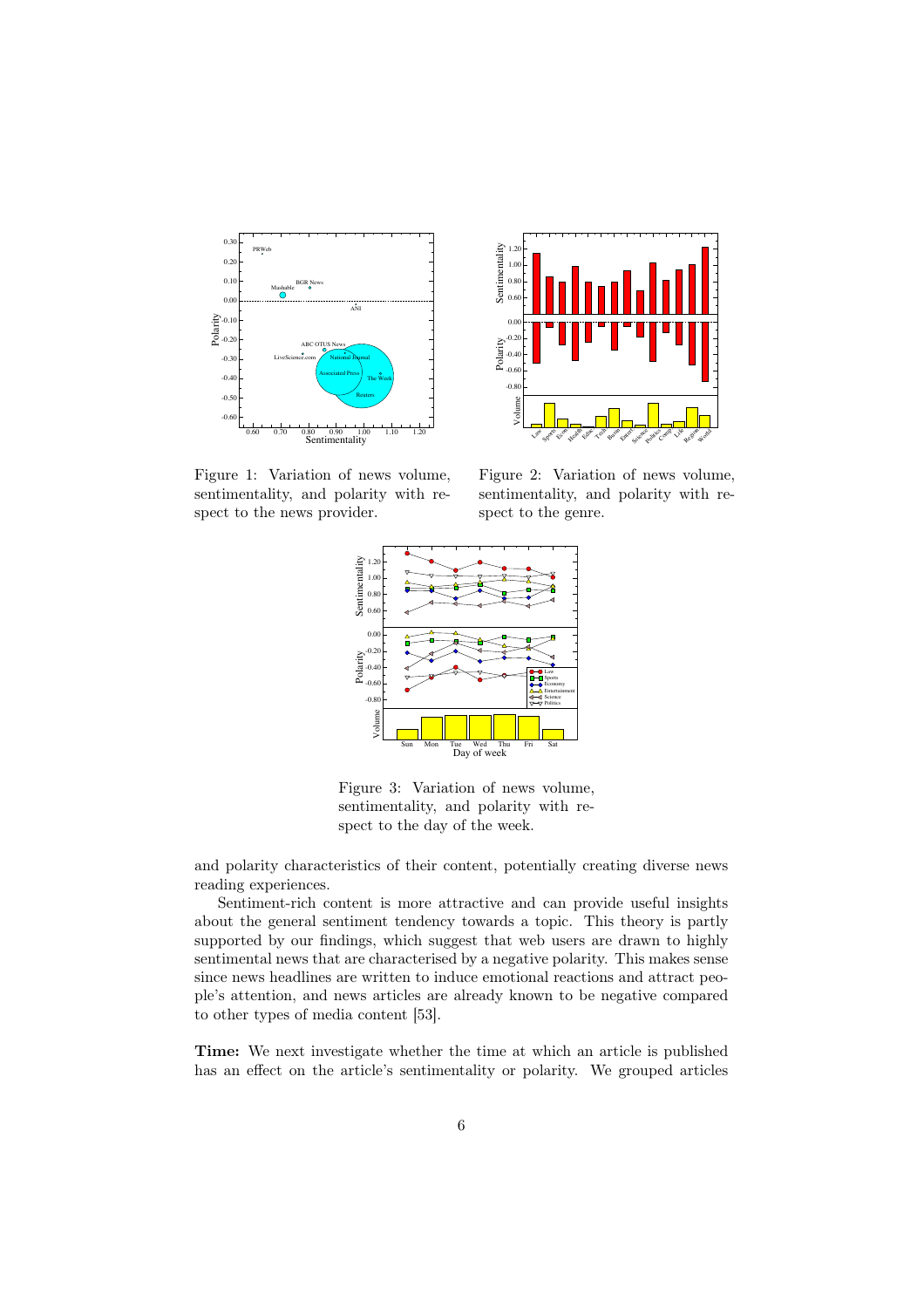



Figure 1: Variation of news volume, sentimentality, and polarity with respect to the news provider.

Figure 2: Variation of news volume, sentimentality, and polarity with respect to the genre.



Figure 3: Variation of news volume, sentimentality, and polarity with respect to the day of the week.

and polarity characteristics of their content, potentially creating diverse news reading experiences.

Sentiment-rich content is more attractive and can provide useful insights about the general sentiment tendency towards a topic. This theory is partly supported by our findings, which suggest that web users are drawn to highly sentimental news that are characterised by a negative polarity. This makes sense since news headlines are written to induce emotional reactions and attract people's attention, and news articles are already known to be negative compared to other types of media content [53].

Time: We next investigate whether the time at which an article is published has an effect on the article's sentimentality or polarity. We grouped articles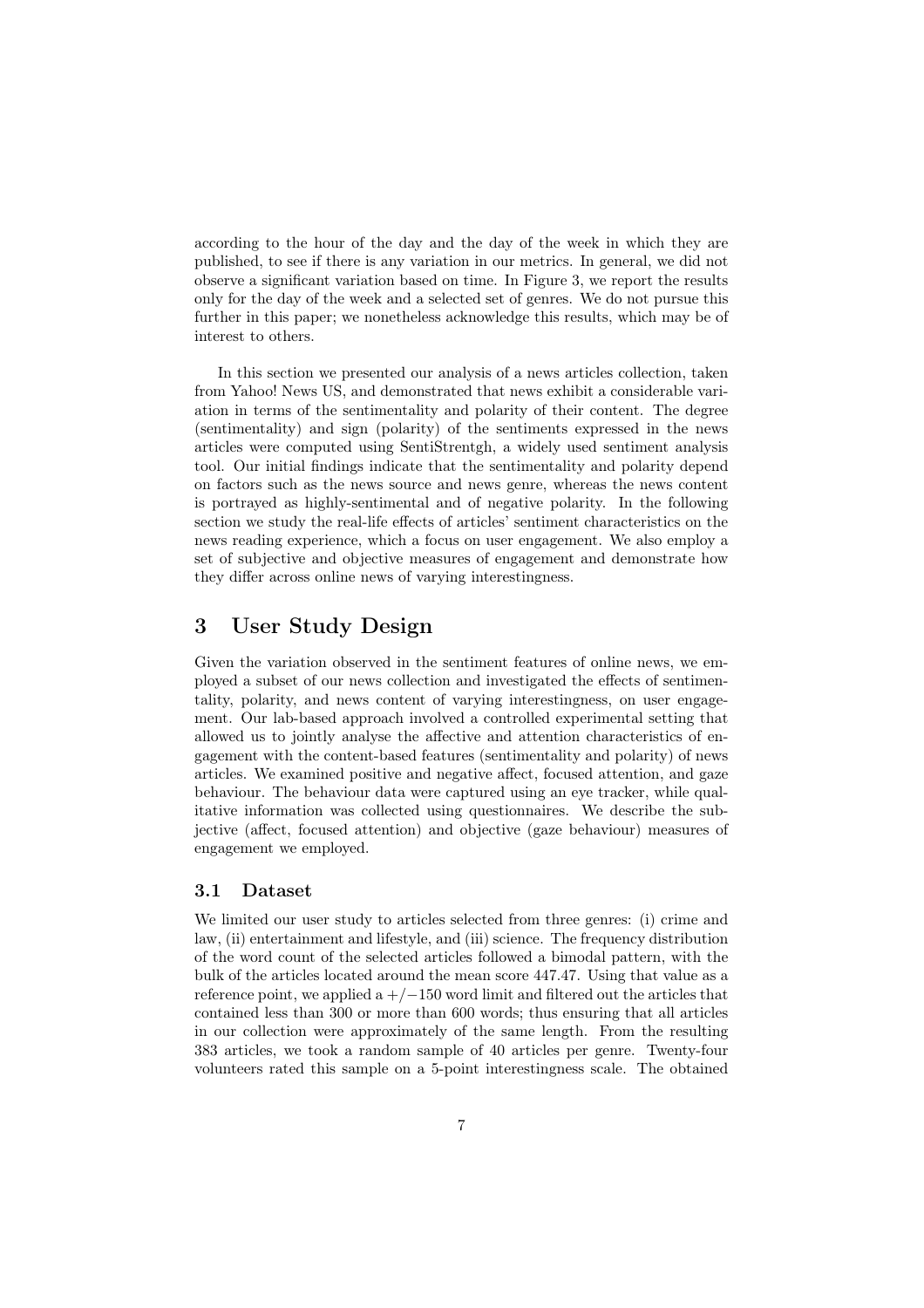according to the hour of the day and the day of the week in which they are published, to see if there is any variation in our metrics. In general, we did not observe a significant variation based on time. In Figure 3, we report the results only for the day of the week and a selected set of genres. We do not pursue this further in this paper; we nonetheless acknowledge this results, which may be of interest to others.

In this section we presented our analysis of a news articles collection, taken from Yahoo! News US, and demonstrated that news exhibit a considerable variation in terms of the sentimentality and polarity of their content. The degree (sentimentality) and sign (polarity) of the sentiments expressed in the news articles were computed using SentiStrentgh, a widely used sentiment analysis tool. Our initial findings indicate that the sentimentality and polarity depend on factors such as the news source and news genre, whereas the news content is portrayed as highly-sentimental and of negative polarity. In the following section we study the real-life effects of articles' sentiment characteristics on the news reading experience, which a focus on user engagement. We also employ a set of subjective and objective measures of engagement and demonstrate how they differ across online news of varying interestingness.

# 3 User Study Design

Given the variation observed in the sentiment features of online news, we employed a subset of our news collection and investigated the effects of sentimentality, polarity, and news content of varying interestingness, on user engagement. Our lab-based approach involved a controlled experimental setting that allowed us to jointly analyse the affective and attention characteristics of engagement with the content-based features (sentimentality and polarity) of news articles. We examined positive and negative affect, focused attention, and gaze behaviour. The behaviour data were captured using an eye tracker, while qualitative information was collected using questionnaires. We describe the subjective (affect, focused attention) and objective (gaze behaviour) measures of engagement we employed.

## 3.1 Dataset

We limited our user study to articles selected from three genres: (i) crime and law, (ii) entertainment and lifestyle, and (iii) science. The frequency distribution of the word count of the selected articles followed a bimodal pattern, with the bulk of the articles located around the mean score 447*.*47. Using that value as a reference point, we applied a  $+/-150$  word limit and filtered out the articles that contained less than 300 or more than 600 words; thus ensuring that all articles in our collection were approximately of the same length. From the resulting 383 articles, we took a random sample of 40 articles per genre. Twenty-four volunteers rated this sample on a 5-point interestingness scale. The obtained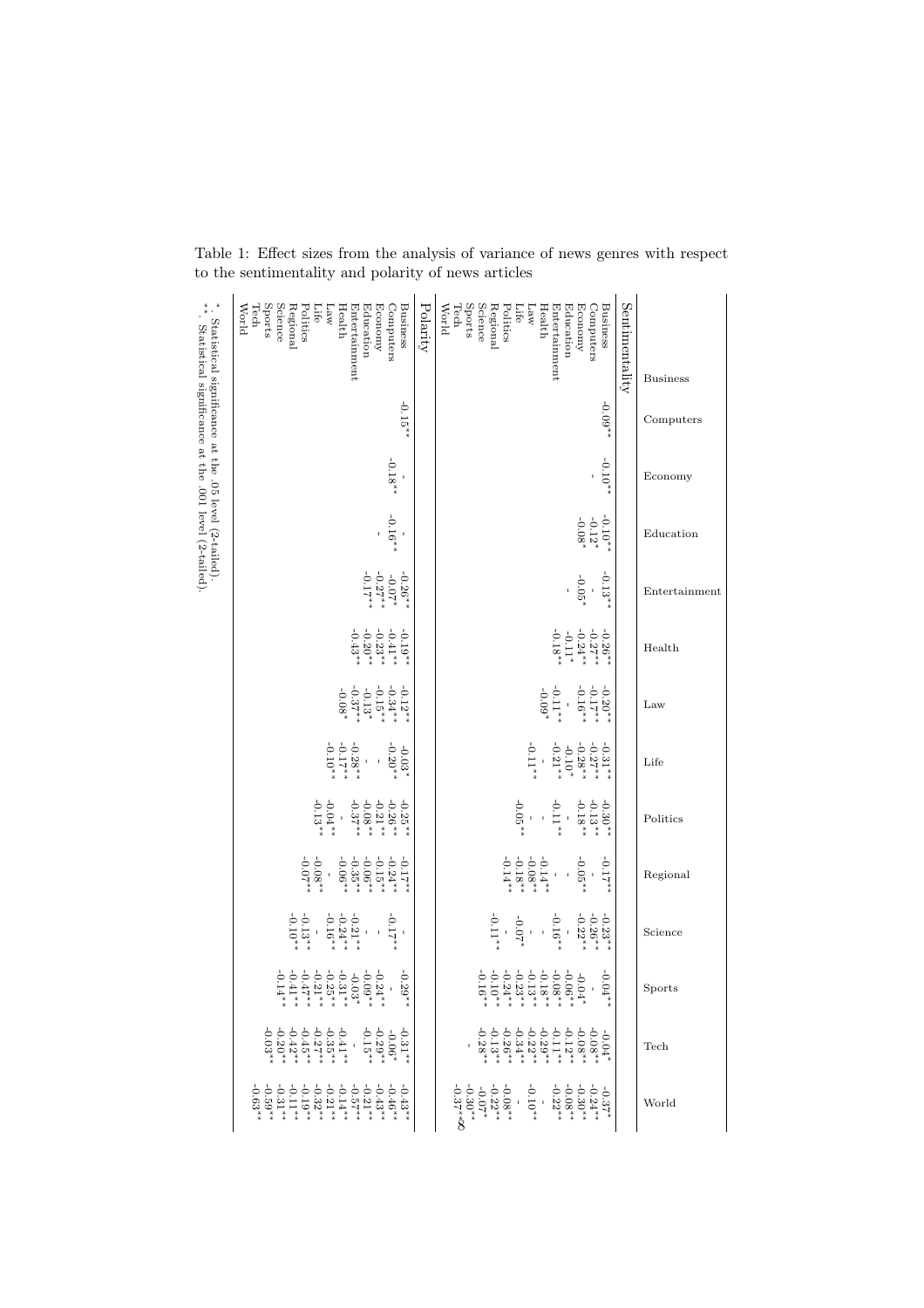| <b>Business</b>                                                                                                                                              | Computers | Economy   | Education                    | Entertainment                                                              | Health                                                                                    | Law                                                                                                                      | Life                                                                                                                             | Politics                                                                                                                                        | Regional                                                                                                      | Science                                                                                                     | $_{\rm Sports}$                                                                                                                                                                                                                                                                                                                 | $\operatorname{\mathrm{Tech}}$                                                                                                                                                                                                                                                                                                                                                                                                                                                                                                                                                                                    | World                                                                                                                                                                                                                         |
|--------------------------------------------------------------------------------------------------------------------------------------------------------------|-----------|-----------|------------------------------|----------------------------------------------------------------------------|-------------------------------------------------------------------------------------------|--------------------------------------------------------------------------------------------------------------------------|----------------------------------------------------------------------------------------------------------------------------------|-------------------------------------------------------------------------------------------------------------------------------------------------|---------------------------------------------------------------------------------------------------------------|-------------------------------------------------------------------------------------------------------------|---------------------------------------------------------------------------------------------------------------------------------------------------------------------------------------------------------------------------------------------------------------------------------------------------------------------------------|-------------------------------------------------------------------------------------------------------------------------------------------------------------------------------------------------------------------------------------------------------------------------------------------------------------------------------------------------------------------------------------------------------------------------------------------------------------------------------------------------------------------------------------------------------------------------------------------------------------------|-------------------------------------------------------------------------------------------------------------------------------------------------------------------------------------------------------------------------------|
| Sentimentality                                                                                                                                               |           |           |                              |                                                                            |                                                                                           |                                                                                                                          |                                                                                                                                  |                                                                                                                                                 |                                                                                                               |                                                                                                             |                                                                                                                                                                                                                                                                                                                                 |                                                                                                                                                                                                                                                                                                                                                                                                                                                                                                                                                                                                                   |                                                                                                                                                                                                                               |
| Sports<br>Science<br>Tech<br>Economy<br>Computers<br>Business<br>Regional<br>Education<br>World<br>Politics<br>Health<br>Entertainment<br>Life<br>Law        | $-0.09**$ | $-0.10**$ | $-0.12^{***}$<br>$-0.12^{*}$ | $-0.13**$<br>$-0.05^*$                                                     | $\begin{array}{c} -0.26^{***} \\ -0.27^{***} \\ -0.11^{**} \\ -0.18^{***} \\ \end{array}$ | $-0.20**$<br>$-0.17**$<br>$-0.16**$<br>$^{-0.11}$ **                                                                     | $\begin{array}{c} -0.31^{***} \\ -0.28^{***} \\ -0.10^{*} \\ -0.10^{**} \\ -0.21^{**} \end{array}$<br>$^{-1}$ 0.11 $^{\ast\ast}$ | $-0.30**$<br>$-0.13**$<br>$-0.11**$<br>$-0.05**$                                                                                                | $\begin{array}{l} -0.14^{***} \\ -0.08^{***} \\ -0.18^{***} \end{array}$<br>$-0.05**$<br>$-17**$<br>$\bar{1}$ | $-0.16**$<br>$\begin{array}{r} -0.23^{***} \\ -0.26^{***} \\ \end{array}$<br>$^{*}$ 1 : 0-<br>$^{*}$ 1 : 0- | $\begin{array}{l} -0.04*\\ -0.06*\\ +0.14*\\ +0.04*\\ +0.04*\\ +0.04*\\ +0.04*\\ +0.04*\\ +0.04*\\ +0.04*\\ +0.04*\\ +0.04*\\ +0.04*\\ +0.04*\\ +0.04*\\ +0.04*\\ +0.04*\\ +0.04*\\ +0.04*\\ +0.04*\\ +0.04*\\ +0.04*\\ +0.04*\\ +0.04*\\ +0.04*\\ +0.04*\\ +0.04*\\ +0.04*\\ +0.04*\\ +0.04*\\ +0.$<br>$-0.0$<br>$\frac{1}{4}$ | $\begin{array}{l} -0.12 \rightarrow \ast \\ -0.29 \rightarrow \ast \\ -0.32 \rightarrow \ast \\ -0.26 \rightarrow \ast \\ -0.28 \rightarrow \ast \\ -0.13 \rightarrow \ast \\ -0.28 \rightarrow \ast \\ -0.28 \rightarrow \ast \ast \\ -0.28 \rightarrow \ast \ast \\ -0.28 \rightarrow \ast \ast \ast \\ -0.28 \rightarrow \ast \ast \ast \\ -0.28 \rightarrow \ast \ast \ast \\ -0.28 \rightarrow \ast \ast \ast \ast \\ -0.28 \rightarrow \ast \ast \ast \ast \ast \\ -0.28 \rightarrow \ast \ast \ast \ast \ast \\ -0.28 \rightarrow \ast \ast \ast \ast \ast \\ -0.28 \rightarrow$<br>$-0.08**$<br>$-0.08**$ | $\begin{array}{l} -0.08^{*}\\ -0.22^{*}\\ -0.07^{*}\\ -0.30^{*}\\ -0.37^{*}\&\end{array}$<br>$\begin{array}{c} -0.37^{+}_{-} \\ -0.24^{+}_{-} \\ -0.08^{+}_{-} \\ -0.08^{+}_{-} \\ -0.22^{+}_{-} \\ \end{array}$<br>$-0.10**$ |
| Polarity                                                                                                                                                     |           |           |                              |                                                                            |                                                                                           |                                                                                                                          |                                                                                                                                  |                                                                                                                                                 |                                                                                                               |                                                                                                             |                                                                                                                                                                                                                                                                                                                                 |                                                                                                                                                                                                                                                                                                                                                                                                                                                                                                                                                                                                                   |                                                                                                                                                                                                                               |
| Sports<br>Tech<br>Science<br>Business<br><b>World</b><br>Education<br>Economy<br>Computers<br>Regional<br>Politics<br>Таw<br>Health<br>Entertainment<br>Life | $-0.15**$ | $-0.18**$ | $-0.16**$<br>$\bar{1}$       | $\begin{array}{r} -0.26^{***} \\ -0.07^{**} \\ -0.27^{***} \\ \end{array}$ | $-0.19**$<br>$\begin{array}{r} -0.23\, * \\\ -0.20\, * \\\ -0.43\, * \end{array}$         | $\begin{array}{l} -0.12^{2} \ast \ast \ast \\ -0.134^{+} \ast \ast \\ -0.13 \ast \\ -0.37^{+} \ast \\ -0.08 \end{array}$ | $-0.28$ *<br>$-0.17$ *<br>$-0.10$ *<br>$-0.03$ *                                                                                 | $-0.04$<br>**<br>$-0.13$<br>$\begin{array}{c} -0.25\ast\ast\ast\\ -0.24\ast\ast\\ -0.03\ast\ast\\ -0.08\ast\ast\\ -0.037\ast\ast\\ \end{array}$ | $* * 20.0$<br>$* * 80.0$                                                                                      | $\begin{array}{r} -0.21^{***} \\ -0.24^{***} \\ \end{array}$<br>$-0.13**$<br>$-0.17**$<br>$\bar{1}$         | $-0.29**$<br>$\begin{array}{l} -0.24^{***} \\ -0.03^{***} \\ -0.03^{***} \\ -0.21^{***} \\ -0.21^{***} \\ -0.47^{***} \\ -0.41^{***} \\ -0.41^{***} \\ -0.41^{***} \\ \end{array}$                                                                                                                                              | $\begin{array}{c} -0.31 \stackrel{*}{\longrightarrow} \\ -0.06 \stackrel{*}{\longrightarrow} \\ -0.29 \stackrel{*}{\longrightarrow} \\ -0.15 \stackrel{*}{\longrightarrow} \\ \end{array}$<br>$-0.03$ *                                                                                                                                                                                                                                                                                                                                                                                                           | $-0.43**$<br>$-0.46**$                                                                                                                                                                                                        |
| ". Statistical significance at the .05 level (2-tailed).<br>"A Statistical significance at the .001 level (2-tailed).                                        |           |           |                              |                                                                            |                                                                                           |                                                                                                                          |                                                                                                                                  |                                                                                                                                                 |                                                                                                               |                                                                                                             |                                                                                                                                                                                                                                                                                                                                 |                                                                                                                                                                                                                                                                                                                                                                                                                                                                                                                                                                                                                   |                                                                                                                                                                                                                               |

Table 1: Effect sizes from the analysis of variance of news genres with respect to the sentimentality and polarity of news articles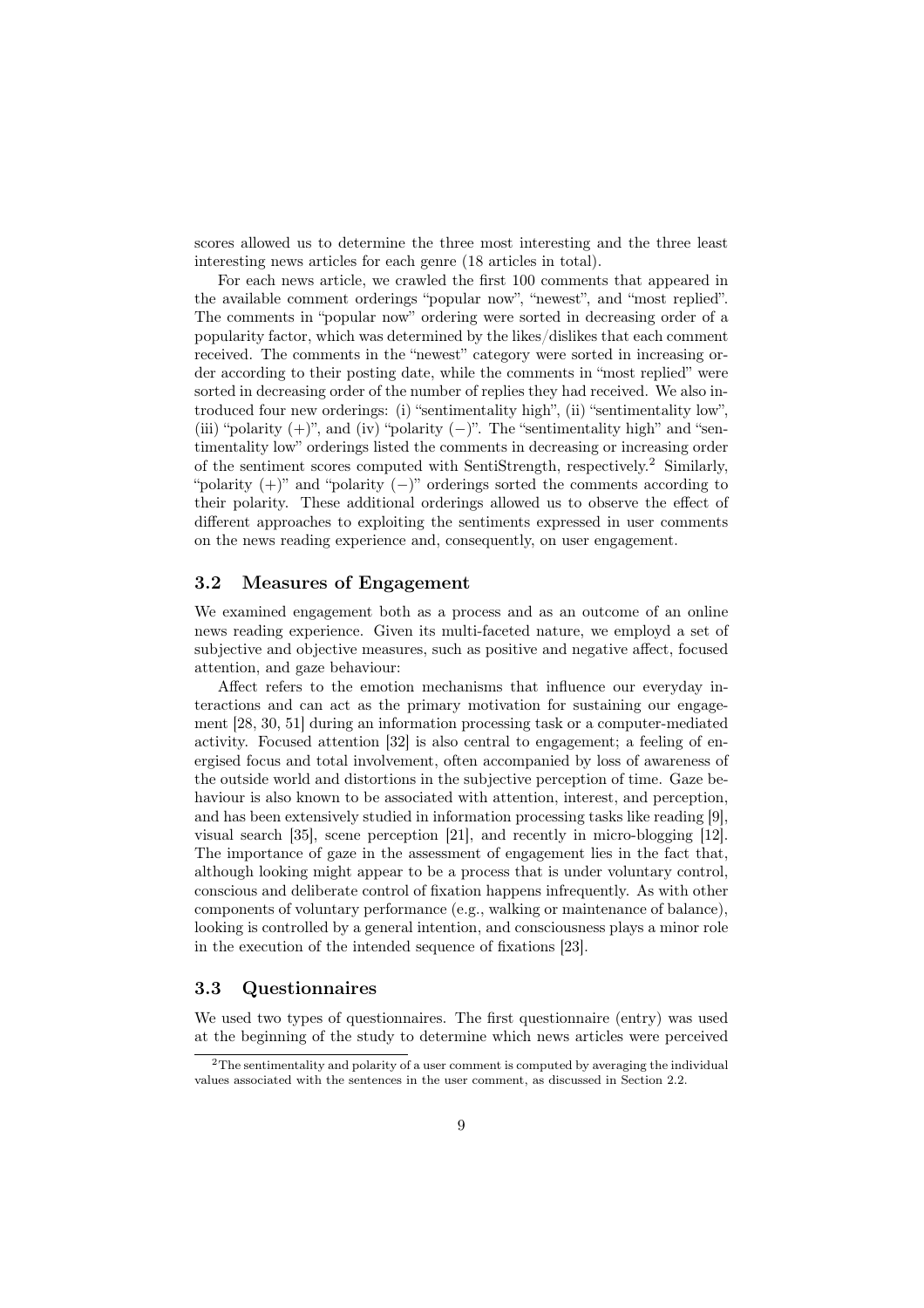scores allowed us to determine the three most interesting and the three least interesting news articles for each genre (18 articles in total).

For each news article, we crawled the first 100 comments that appeared in the available comment orderings "popular now", "newest", and "most replied". The comments in "popular now" ordering were sorted in decreasing order of a popularity factor, which was determined by the likes/dislikes that each comment received. The comments in the "newest" category were sorted in increasing order according to their posting date, while the comments in "most replied" were sorted in decreasing order of the number of replies they had received. We also introduced four new orderings: (i) "sentimentality high", (ii) "sentimentality low", (iii) "polarity  $(+)$ ", and (iv) "polarity  $(-)$ ". The "sentimentality high" and "sentimentality low" orderings listed the comments in decreasing or increasing order of the sentiment scores computed with SentiStrength, respectively.<sup>2</sup> Similarly, "polarity  $(+)$ " and "polarity  $(-)$ " orderings sorted the comments according to their polarity. These additional orderings allowed us to observe the effect of different approaches to exploiting the sentiments expressed in user comments on the news reading experience and, consequently, on user engagement.

### 3.2 Measures of Engagement

We examined engagement both as a process and as an outcome of an online news reading experience. Given its multi-faceted nature, we employd a set of subjective and objective measures, such as positive and negative affect, focused attention, and gaze behaviour:

Affect refers to the emotion mechanisms that influence our everyday interactions and can act as the primary motivation for sustaining our engagement [28, 30, 51] during an information processing task or a computer-mediated activity. Focused attention [32] is also central to engagement; a feeling of energised focus and total involvement, often accompanied by loss of awareness of the outside world and distortions in the subjective perception of time. Gaze behaviour is also known to be associated with attention, interest, and perception, and has been extensively studied in information processing tasks like reading [9], visual search [35], scene perception [21], and recently in micro-blogging [12]. The importance of gaze in the assessment of engagement lies in the fact that, although looking might appear to be a process that is under voluntary control, conscious and deliberate control of fixation happens infrequently. As with other components of voluntary performance (e.g., walking or maintenance of balance), looking is controlled by a general intention, and consciousness plays a minor role in the execution of the intended sequence of fixations [23].

#### 3.3 Questionnaires

We used two types of questionnaires. The first questionnaire (entry) was used at the beginning of the study to determine which news articles were perceived

 $2^2$ The sentimentality and polarity of a user comment is computed by averaging the individual values associated with the sentences in the user comment, as discussed in Section 2.2.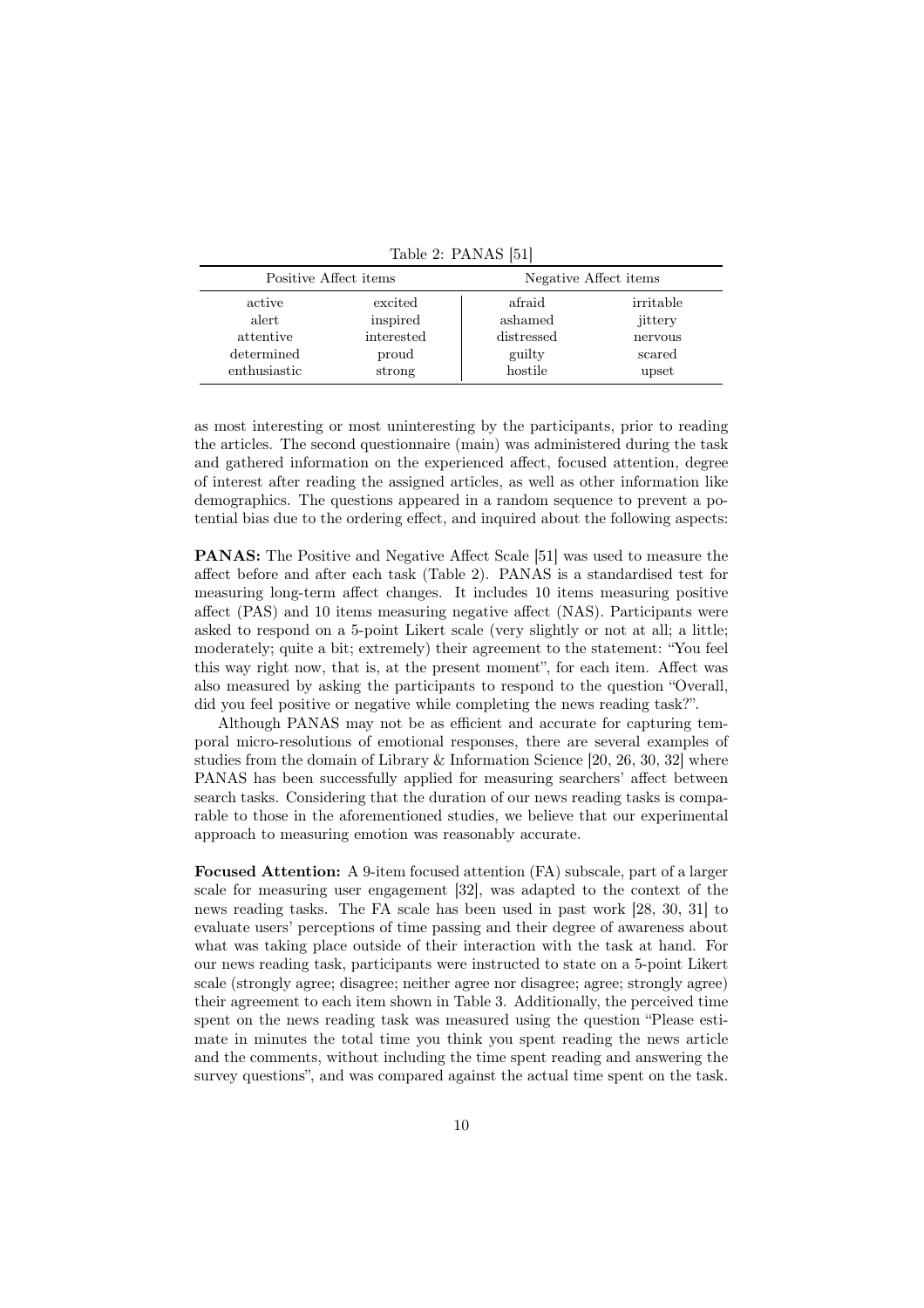|              | Positive Affect items | Negative Affect items |           |  |  |
|--------------|-----------------------|-----------------------|-----------|--|--|
| active       | excited               | afraid                | irritable |  |  |
| alert        | inspired              | ashamed               | jittery   |  |  |
| attentive    | interested            | distressed            | nervous   |  |  |
| determined   | proud                 | guilty                | scared    |  |  |
| enthusiastic | strong                | hostile               | upset     |  |  |

Table 2: PANAS [51]

as most interesting or most uninteresting by the participants, prior to reading the articles. The second questionnaire (main) was administered during the task and gathered information on the experienced affect, focused attention, degree of interest after reading the assigned articles, as well as other information like demographics. The questions appeared in a random sequence to prevent a potential bias due to the ordering effect, and inquired about the following aspects:

PANAS: The Positive and Negative Affect Scale [51] was used to measure the affect before and after each task (Table 2). PANAS is a standardised test for measuring long-term affect changes. It includes 10 items measuring positive affect (PAS) and 10 items measuring negative affect (NAS). Participants were asked to respond on a 5-point Likert scale (very slightly or not at all; a little; moderately; quite a bit; extremely) their agreement to the statement: "You feel this way right now, that is, at the present moment", for each item. Affect was also measured by asking the participants to respond to the question "Overall, did you feel positive or negative while completing the news reading task?".

Although PANAS may not be as efficient and accurate for capturing temporal micro-resolutions of emotional responses, there are several examples of studies from the domain of Library & Information Science [20, 26, 30, 32] where PANAS has been successfully applied for measuring searchers' affect between search tasks. Considering that the duration of our news reading tasks is comparable to those in the aforementioned studies, we believe that our experimental approach to measuring emotion was reasonably accurate.

Focused Attention: A 9-item focused attention (FA) subscale, part of a larger scale for measuring user engagement [32], was adapted to the context of the news reading tasks. The FA scale has been used in past work [28, 30, 31] to evaluate users' perceptions of time passing and their degree of awareness about what was taking place outside of their interaction with the task at hand. For our news reading task, participants were instructed to state on a 5-point Likert scale (strongly agree; disagree; neither agree nor disagree; agree; strongly agree) their agreement to each item shown in Table 3. Additionally, the perceived time spent on the news reading task was measured using the question "Please estimate in minutes the total time you think you spent reading the news article and the comments, without including the time spent reading and answering the survey questions", and was compared against the actual time spent on the task.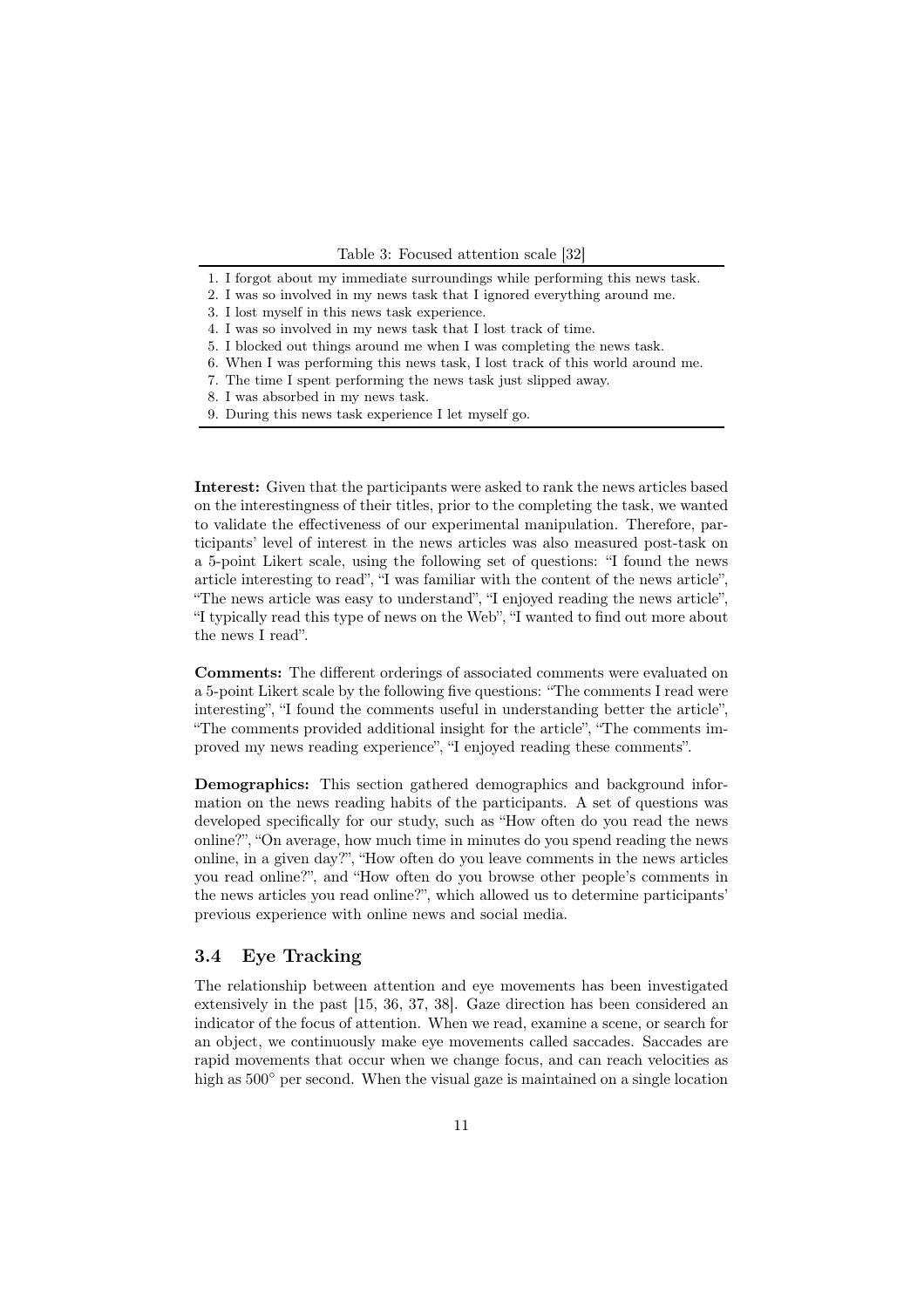- 1. I forgot about my immediate surroundings while performing this news task.
- 2. I was so involved in my news task that I ignored everything around me.
- 3. I lost myself in this news task experience.
- 4. I was so involved in my news task that I lost track of time.
- 5. I blocked out things around me when I was completing the news task.
- 6. When I was performing this news task, I lost track of this world around me.
- 7. The time I spent performing the news task just slipped away.
- 8. I was absorbed in my news task.
- 9. During this news task experience I let myself go.

Interest: Given that the participants were asked to rank the news articles based on the interestingness of their titles, prior to the completing the task, we wanted to validate the effectiveness of our experimental manipulation. Therefore, participants' level of interest in the news articles was also measured post-task on a 5-point Likert scale, using the following set of questions: "I found the news article interesting to read", "I was familiar with the content of the news article", "The news article was easy to understand", "I enjoyed reading the news article", "I typically read this type of news on the Web", "I wanted to find out more about the news I read".

Comments: The different orderings of associated comments were evaluated on a 5-point Likert scale by the following five questions: "The comments I read were interesting", "I found the comments useful in understanding better the article", "The comments provided additional insight for the article", "The comments improved my news reading experience", "I enjoyed reading these comments".

Demographics: This section gathered demographics and background information on the news reading habits of the participants. A set of questions was developed specifically for our study, such as "How often do you read the news online?", "On average, how much time in minutes do you spend reading the news online, in a given day?", "How often do you leave comments in the news articles you read online?", and "How often do you browse other people's comments in the news articles you read online?", which allowed us to determine participants' previous experience with online news and social media.

### 3.4 Eye Tracking

The relationship between attention and eye movements has been investigated extensively in the past [15, 36, 37, 38]. Gaze direction has been considered an indicator of the focus of attention. When we read, examine a scene, or search for an object, we continuously make eye movements called saccades. Saccades are rapid movements that occur when we change focus, and can reach velocities as high as  $500^{\circ}$  per second. When the visual gaze is maintained on a single location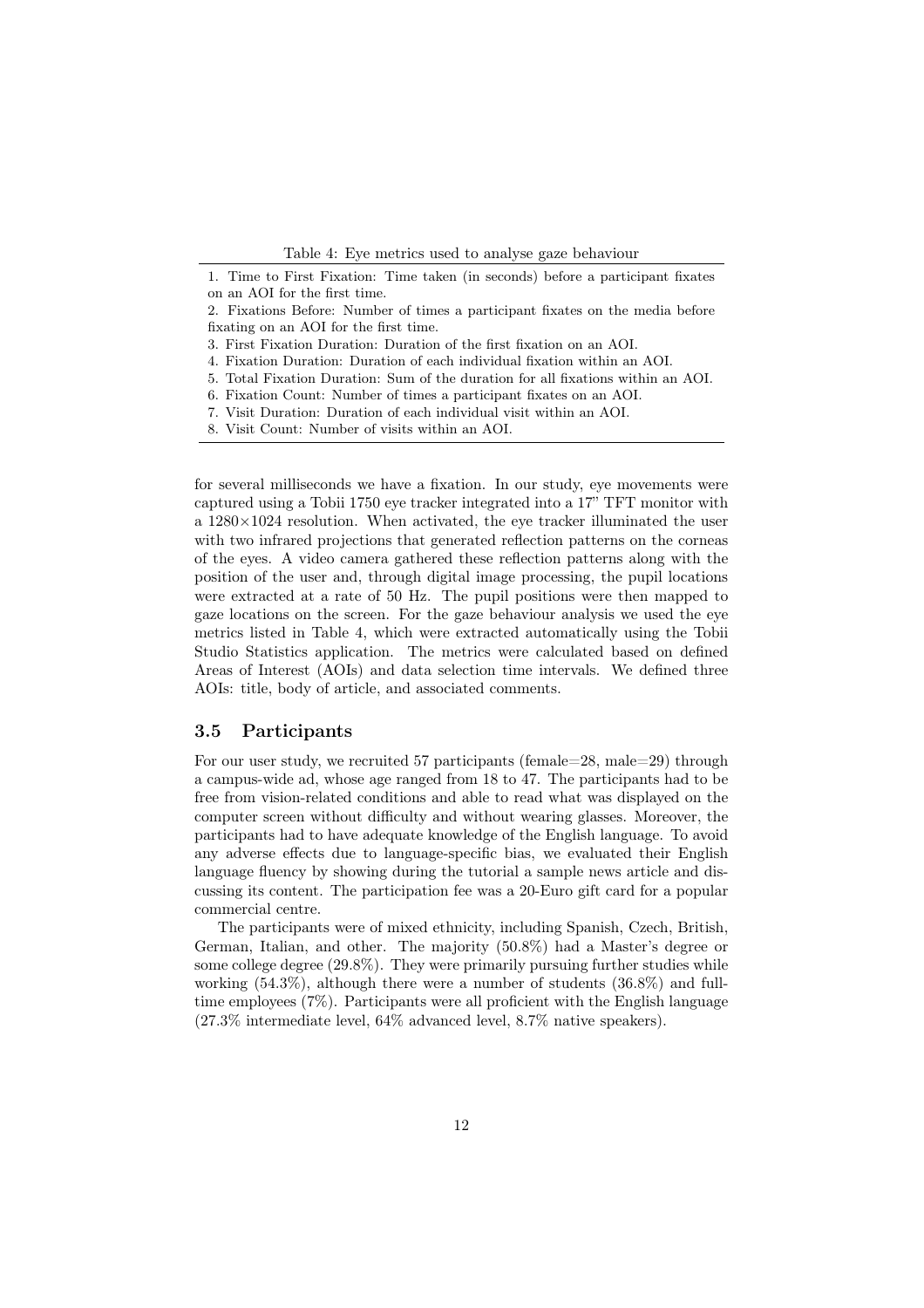Table 4: Eye metrics used to analyse gaze behaviour

for several milliseconds we have a fixation. In our study, eye movements were captured using a Tobii 1750 eye tracker integrated into a 17" TFT monitor with a  $1280\times1024$  resolution. When activated, the eye tracker illuminated the user with two infrared projections that generated reflection patterns on the corneas of the eyes. A video camera gathered these reflection patterns along with the position of the user and, through digital image processing, the pupil locations were extracted at a rate of 50 Hz. The pupil positions were then mapped to gaze locations on the screen. For the gaze behaviour analysis we used the eye metrics listed in Table 4, which were extracted automatically using the Tobii Studio Statistics application. The metrics were calculated based on defined Areas of Interest (AOIs) and data selection time intervals. We defined three AOIs: title, body of article, and associated comments.

#### 3.5 Participants

For our user study, we recruited 57 participants (female=28, male=29) through a campus-wide ad, whose age ranged from 18 to 47. The participants had to be free from vision-related conditions and able to read what was displayed on the computer screen without difficulty and without wearing glasses. Moreover, the participants had to have adequate knowledge of the English language. To avoid any adverse effects due to language-specific bias, we evaluated their English language fluency by showing during the tutorial a sample news article and discussing its content. The participation fee was a 20-Euro gift card for a popular commercial centre.

The participants were of mixed ethnicity, including Spanish, Czech, British, German, Italian, and other. The majority (50.8%) had a Master's degree or some college degree (29.8%). They were primarily pursuing further studies while working (54.3%), although there were a number of students (36.8%) and fulltime employees (7%). Participants were all proficient with the English language (27*.*3% intermediate level, 64% advanced level, 8*.*7% native speakers).

<sup>1.</sup> Time to First Fixation: Time taken (in seconds) before a participant fixates on an AOI for the first time.

<sup>2.</sup> Fixations Before: Number of times a participant fixates on the media before fixating on an AOI for the first time.

<sup>3.</sup> First Fixation Duration: Duration of the first fixation on an AOI.

<sup>4.</sup> Fixation Duration: Duration of each individual fixation within an AOI.

<sup>5.</sup> Total Fixation Duration: Sum of the duration for all fixations within an AOI.

<sup>6.</sup> Fixation Count: Number of times a participant fixates on an AOI.

<sup>7.</sup> Visit Duration: Duration of each individual visit within an AOI.

<sup>8.</sup> Visit Count: Number of visits within an AOI.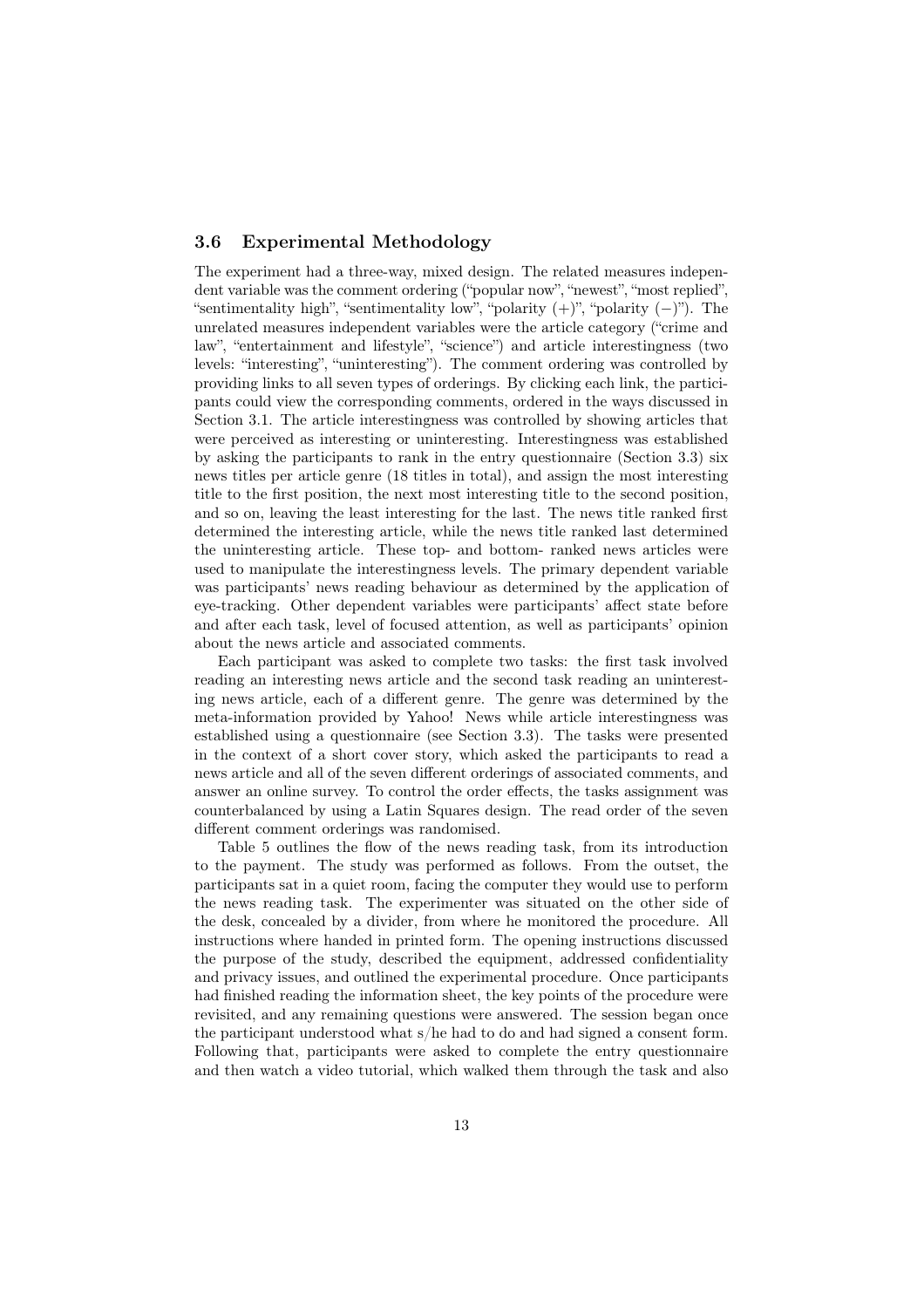### 3.6 Experimental Methodology

The experiment had a three-way, mixed design. The related measures independent variable was the comment ordering ("popular now", "newest", "most replied", "sentimentality high", "sentimentality low", "polarity  $(+)$ ", "polarity  $(-)$ "). The unrelated measures independent variables were the article category ("crime and law", "entertainment and lifestyle", "science") and article interestingness (two levels: "interesting", "uninteresting"). The comment ordering was controlled by providing links to all seven types of orderings. By clicking each link, the participants could view the corresponding comments, ordered in the ways discussed in Section 3.1. The article interestingness was controlled by showing articles that were perceived as interesting or uninteresting. Interestingness was established by asking the participants to rank in the entry questionnaire (Section 3.3) six news titles per article genre (18 titles in total), and assign the most interesting title to the first position, the next most interesting title to the second position, and so on, leaving the least interesting for the last. The news title ranked first determined the interesting article, while the news title ranked last determined the uninteresting article. These top- and bottom- ranked news articles were used to manipulate the interestingness levels. The primary dependent variable was participants' news reading behaviour as determined by the application of eye-tracking. Other dependent variables were participants' affect state before and after each task, level of focused attention, as well as participants' opinion about the news article and associated comments.

Each participant was asked to complete two tasks: the first task involved reading an interesting news article and the second task reading an uninteresting news article, each of a different genre. The genre was determined by the meta-information provided by Yahoo! News while article interestingness was established using a questionnaire (see Section 3.3). The tasks were presented in the context of a short cover story, which asked the participants to read a news article and all of the seven different orderings of associated comments, and answer an online survey. To control the order effects, the tasks assignment was counterbalanced by using a Latin Squares design. The read order of the seven different comment orderings was randomised.

Table 5 outlines the flow of the news reading task, from its introduction to the payment. The study was performed as follows. From the outset, the participants sat in a quiet room, facing the computer they would use to perform the news reading task. The experimenter was situated on the other side of the desk, concealed by a divider, from where he monitored the procedure. All instructions where handed in printed form. The opening instructions discussed the purpose of the study, described the equipment, addressed confidentiality and privacy issues, and outlined the experimental procedure. Once participants had finished reading the information sheet, the key points of the procedure were revisited, and any remaining questions were answered. The session began once the participant understood what s/he had to do and had signed a consent form. Following that, participants were asked to complete the entry questionnaire and then watch a video tutorial, which walked them through the task and also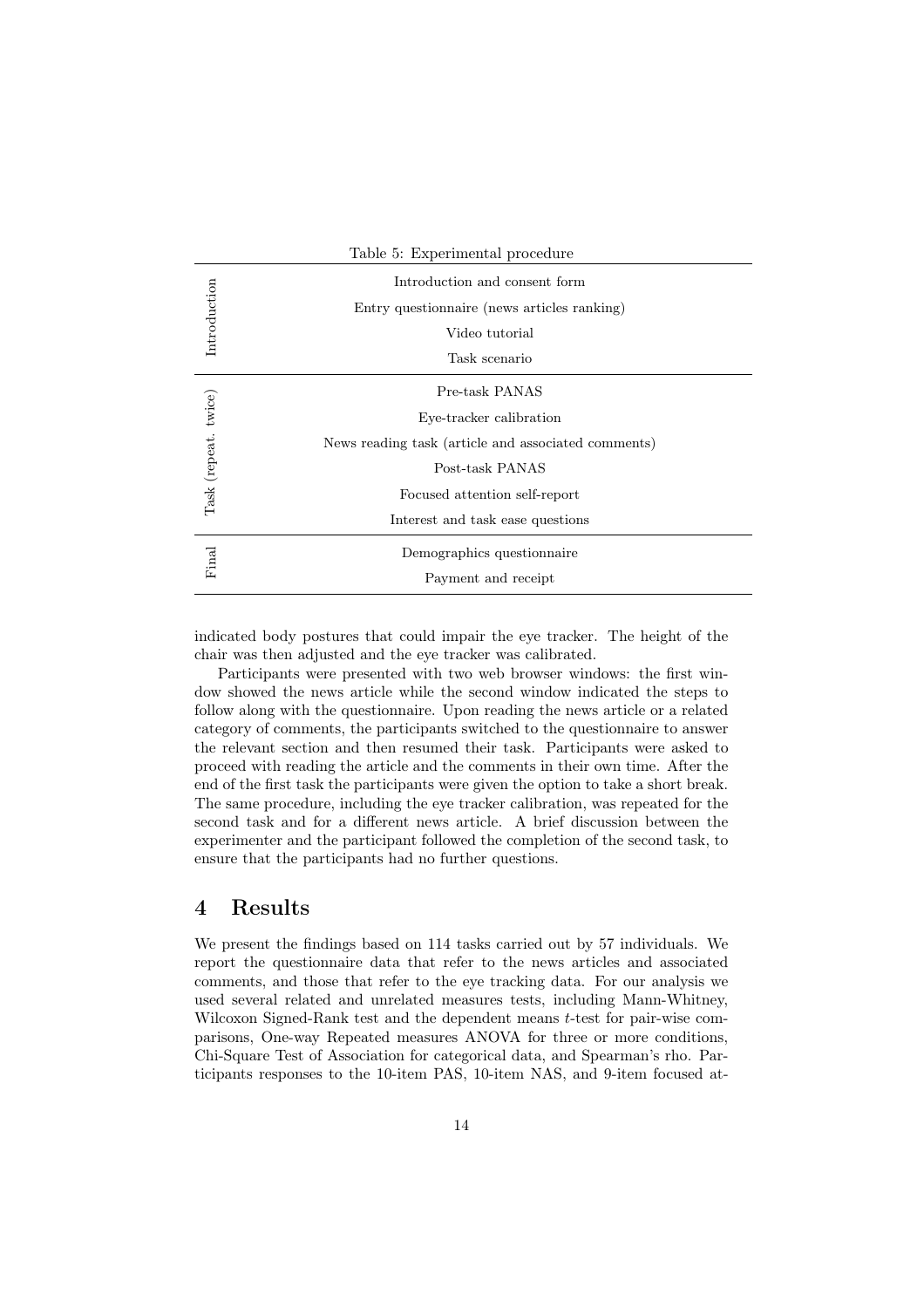|                      | Table 5: Experimental procedure                                                                                                                                                          |
|----------------------|------------------------------------------------------------------------------------------------------------------------------------------------------------------------------------------|
| Introduction         | Introduction and consent form<br>Entry questionnaire (news articles ranking)<br>Video tutorial<br>Task scenario                                                                          |
| Task (repeat. twice) | Pre-task PANAS<br>Eye-tracker calibration<br>News reading task (article and associated comments)<br>Post-task PANAS<br>Focused attention self-report<br>Interest and task ease questions |
| Final                | Demographics questionnaire<br>Payment and receipt                                                                                                                                        |

indicated body postures that could impair the eye tracker. The height of the chair was then adjusted and the eye tracker was calibrated.

Participants were presented with two web browser windows: the first window showed the news article while the second window indicated the steps to follow along with the questionnaire. Upon reading the news article or a related category of comments, the participants switched to the questionnaire to answer the relevant section and then resumed their task. Participants were asked to proceed with reading the article and the comments in their own time. After the end of the first task the participants were given the option to take a short break. The same procedure, including the eye tracker calibration, was repeated for the second task and for a different news article. A brief discussion between the experimenter and the participant followed the completion of the second task, to ensure that the participants had no further questions.

# 4 Results

We present the findings based on 114 tasks carried out by 57 individuals. We report the questionnaire data that refer to the news articles and associated comments, and those that refer to the eye tracking data. For our analysis we used several related and unrelated measures tests, including Mann-Whitney, Wilcoxon Signed-Rank test and the dependent means *t*-test for pair-wise comparisons, One-way Repeated measures ANOVA for three or more conditions, Chi-Square Test of Association for categorical data, and Spearman's rho. Participants responses to the 10-item PAS, 10-item NAS, and 9-item focused at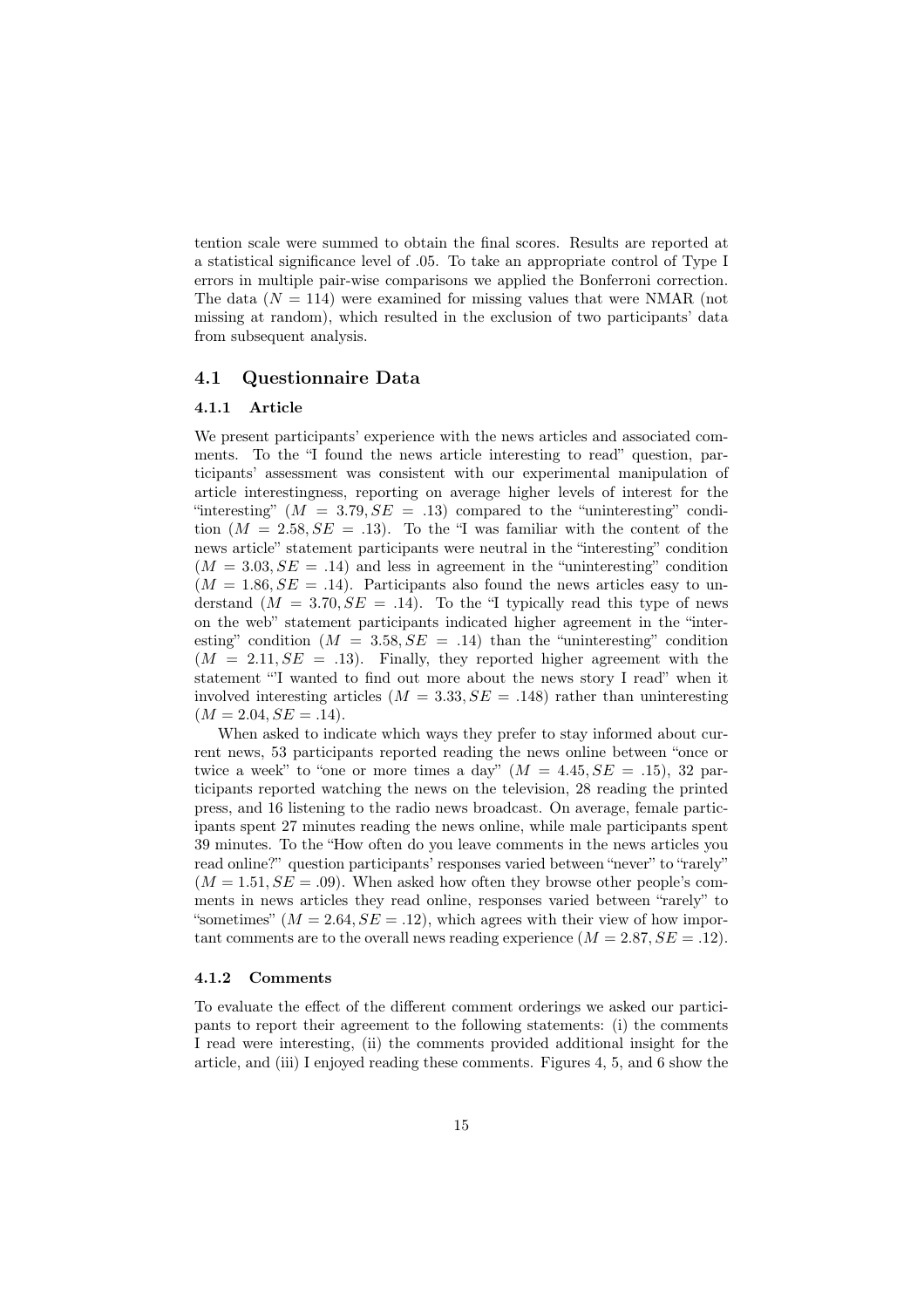tention scale were summed to obtain the final scores. Results are reported at a statistical significance level of .05. To take an appropriate control of Type I errors in multiple pair-wise comparisons we applied the Bonferroni correction. The data  $(N = 114)$  were examined for missing values that were NMAR (not missing at random), which resulted in the exclusion of two participants' data from subsequent analysis.

### 4.1 Questionnaire Data

### 4.1.1 Article

We present participants' experience with the news articles and associated comments. To the "I found the news article interesting to read" question, participants' assessment was consistent with our experimental manipulation of article interestingness, reporting on average higher levels of interest for the "interesting"  $(M = 3.79, SE = .13)$  compared to the "uninteresting" condition  $(M = 2.58, SE = .13)$ . To the "I was familiar with the content of the news article" statement participants were neutral in the "interesting" condition  $(M = 3.03, SE = .14)$  and less in agreement in the "uninteresting" condition  $(M = 1.86, SE = .14)$ . Participants also found the news articles easy to understand  $(M = 3.70, SE = .14)$ . To the "I typically read this type of news on the web" statement participants indicated higher agreement in the "interesting" condition  $(M = 3.58, SE = .14)$  than the "uninteresting" condition  $(M = 2.11, SE = .13)$ . Finally, they reported higher agreement with the statement "'I wanted to find out more about the news story I read" when it involved interesting articles  $(M = 3.33, SE = .148)$  rather than uninteresting  $(M = 2.04, SE = .14)$ .

When asked to indicate which ways they prefer to stay informed about current news, 53 participants reported reading the news online between "once or twice a week" to "one or more times a day"  $(M = 4.45, SE = .15)$ , 32 participants reported watching the news on the television, 28 reading the printed press, and 16 listening to the radio news broadcast. On average, female participants spent 27 minutes reading the news online, while male participants spent 39 minutes. To the "How often do you leave comments in the news articles you read online?" question participants' responses varied between "never" to "rarely"  $(M = 1.51, SE = .09)$ . When asked how often they browse other people's comments in news articles they read online, responses varied between "rarely" to "sometimes"  $(M = 2.64, SE = .12)$ , which agrees with their view of how important comments are to the overall news reading experience  $(M = 2.87, SE = .12)$ .

#### 4.1.2 Comments

To evaluate the effect of the different comment orderings we asked our participants to report their agreement to the following statements: (i) the comments I read were interesting, (ii) the comments provided additional insight for the article, and (iii) I enjoyed reading these comments. Figures 4, 5, and 6 show the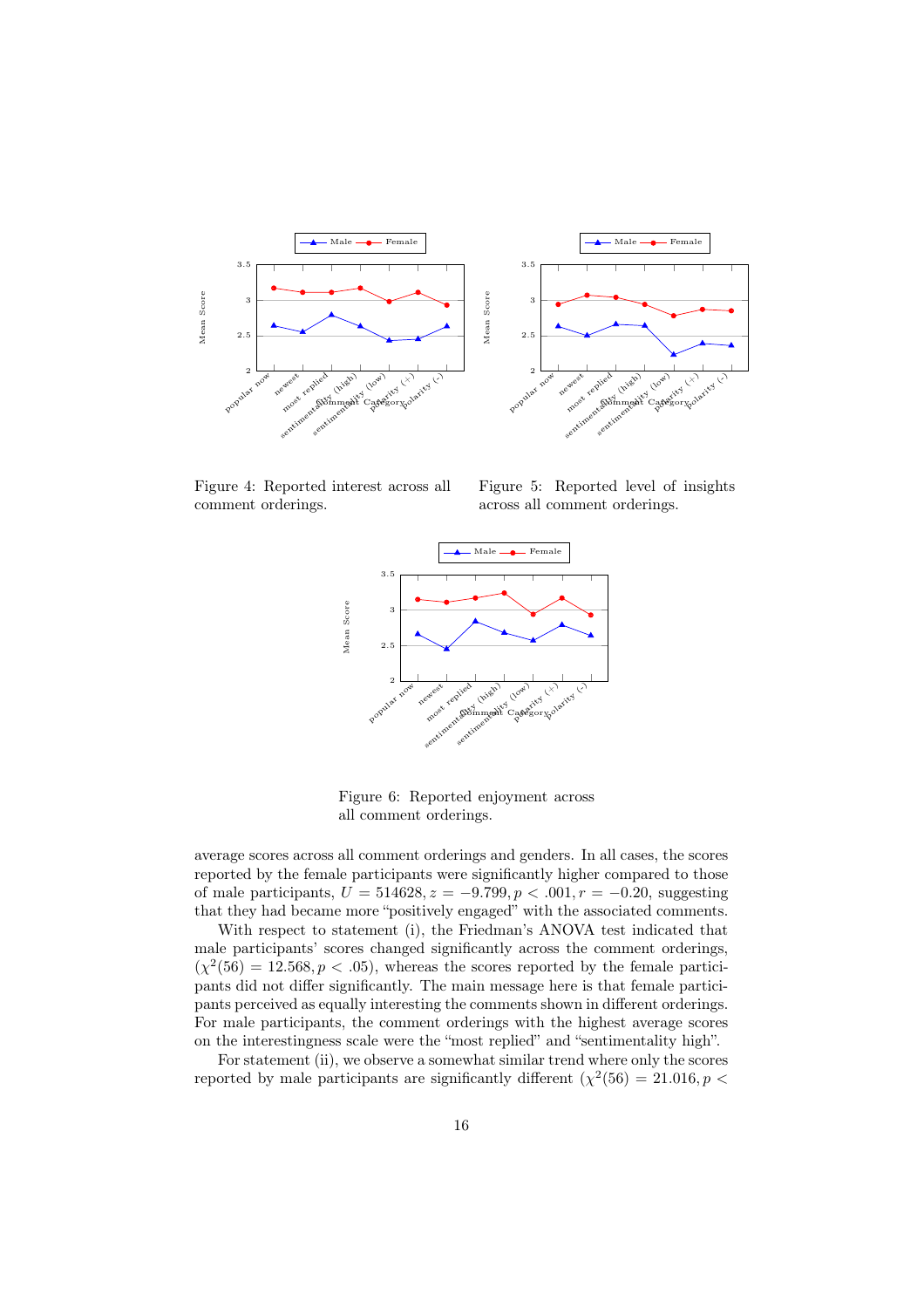



Figure 4: Reported interest across all comment orderings.

Figure 5: Reported level of insights across all comment orderings.



Figure 6: Reported enjoyment across all comment orderings.

average scores across all comment orderings and genders. In all cases, the scores reported by the female participants were significantly higher compared to those of male participants,  $U = 514628$ ,  $z = -9.799$ ,  $p < .001$ ,  $r = -0.20$ , suggesting that they had became more "positively engaged" with the associated comments.

With respect to statement (i), the Friedman's ANOVA test indicated that male participants' scores changed significantly across the comment orderings,  $(\chi^2(56) = 12.568, p < .05)$ , whereas the scores reported by the female participants did not differ significantly. The main message here is that female participants perceived as equally interesting the comments shown in different orderings. For male participants, the comment orderings with the highest average scores on the interestingness scale were the "most replied" and "sentimentality high".

For statement (ii), we observe a somewhat similar trend where only the scores reported by male participants are significantly different  $(\chi^2(56) = 21.016, p <$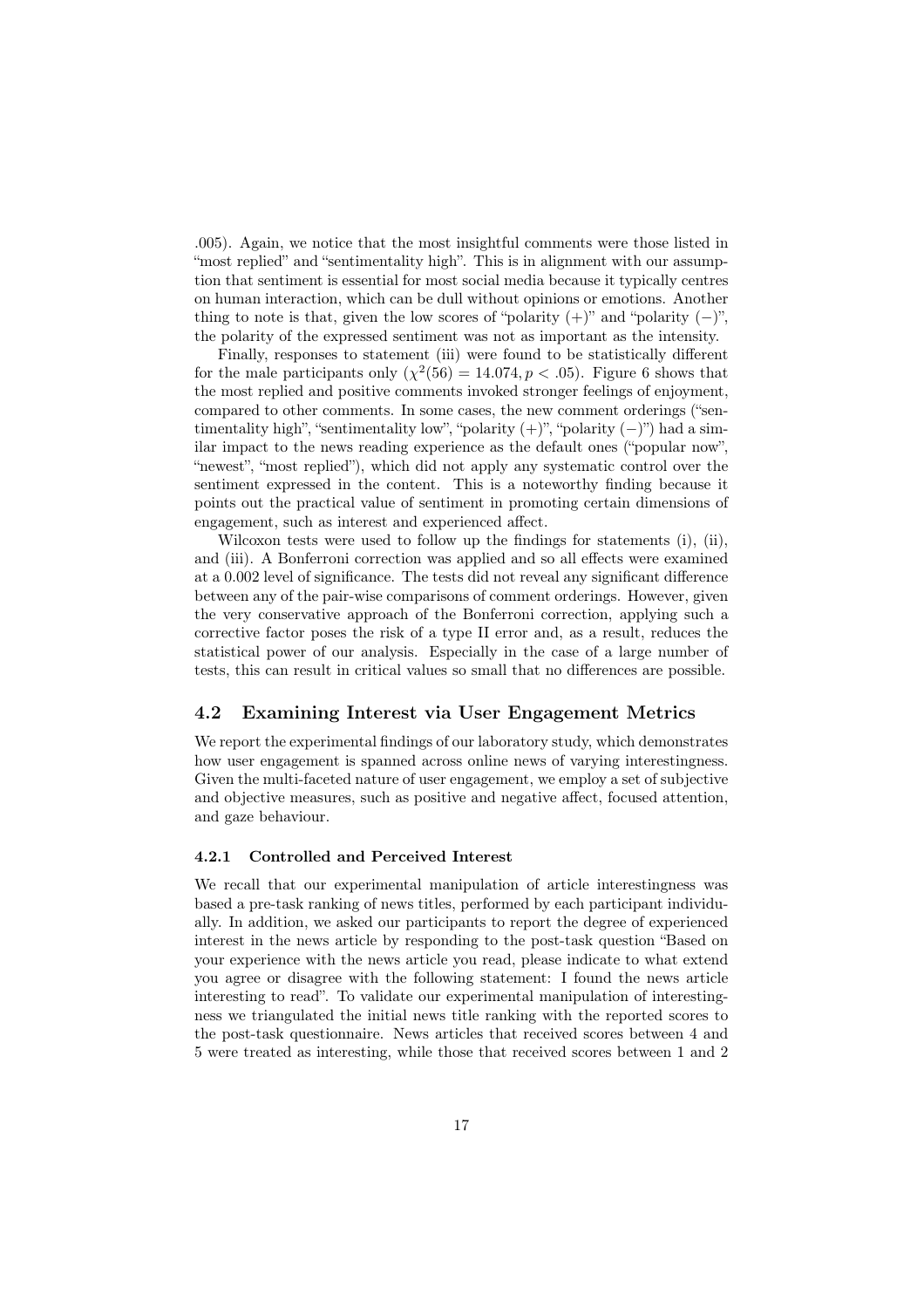*.*005). Again, we notice that the most insightful comments were those listed in "most replied" and "sentimentality high". This is in alignment with our assumption that sentiment is essential for most social media because it typically centres on human interaction, which can be dull without opinions or emotions. Another thing to note is that, given the low scores of "polarity  $(+)$ " and "polarity  $(-)$ ", the polarity of the expressed sentiment was not as important as the intensity.

Finally, responses to statement (iii) were found to be statistically different for the male participants only  $(\chi^2(56) = 14.074, p < .05)$ . Figure 6 shows that the most replied and positive comments invoked stronger feelings of enjoyment, compared to other comments. In some cases, the new comment orderings ("sentimentality high", "sentimentality low", "polarity  $(+)$ ", "polarity  $(-)$ ") had a similar impact to the news reading experience as the default ones ("popular now", "newest", "most replied"), which did not apply any systematic control over the sentiment expressed in the content. This is a noteworthy finding because it points out the practical value of sentiment in promoting certain dimensions of engagement, such as interest and experienced affect.

Wilcoxon tests were used to follow up the findings for statements (i), (ii), and (iii). A Bonferroni correction was applied and so all effects were examined at a 0.002 level of significance. The tests did not reveal any significant difference between any of the pair-wise comparisons of comment orderings. However, given the very conservative approach of the Bonferroni correction, applying such a corrective factor poses the risk of a type II error and, as a result, reduces the statistical power of our analysis. Especially in the case of a large number of tests, this can result in critical values so small that no differences are possible.

### 4.2 Examining Interest via User Engagement Metrics

We report the experimental findings of our laboratory study, which demonstrates how user engagement is spanned across online news of varying interestingness. Given the multi-faceted nature of user engagement, we employ a set of subjective and objective measures, such as positive and negative affect, focused attention, and gaze behaviour.

### 4.2.1 Controlled and Perceived Interest

We recall that our experimental manipulation of article interestingness was based a pre-task ranking of news titles, performed by each participant individually. In addition, we asked our participants to report the degree of experienced interest in the news article by responding to the post-task question "Based on your experience with the news article you read, please indicate to what extend you agree or disagree with the following statement: I found the news article interesting to read". To validate our experimental manipulation of interestingness we triangulated the initial news title ranking with the reported scores to the post-task questionnaire. News articles that received scores between 4 and 5 were treated as interesting, while those that received scores between 1 and 2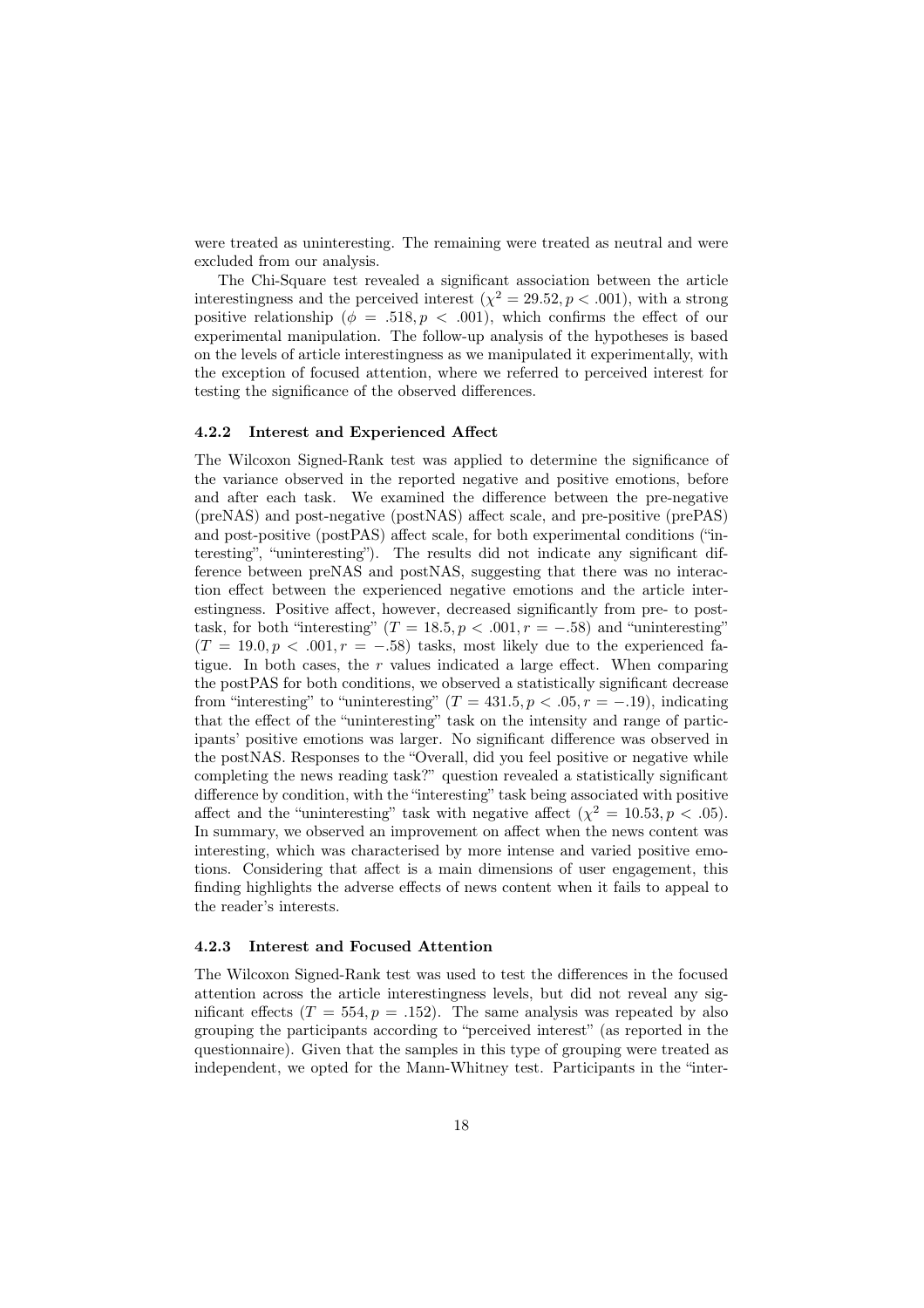were treated as uninteresting. The remaining were treated as neutral and were excluded from our analysis.

The Chi-Square test revealed a significant association between the article interestingness and the perceived interest  $(\chi^2 = 29.52, p < .001)$ , with a strong positive relationship ( $\phi = .518, p < .001$ ), which confirms the effect of our experimental manipulation. The follow-up analysis of the hypotheses is based on the levels of article interestingness as we manipulated it experimentally, with the exception of focused attention, where we referred to perceived interest for testing the significance of the observed differences.

### 4.2.2 Interest and Experienced Affect

The Wilcoxon Signed-Rank test was applied to determine the significance of the variance observed in the reported negative and positive emotions, before and after each task. We examined the difference between the pre-negative (preNAS) and post-negative (postNAS) affect scale, and pre-positive (prePAS) and post-positive (postPAS) affect scale, for both experimental conditions ("interesting", "uninteresting"). The results did not indicate any significant difference between preNAS and postNAS, suggesting that there was no interaction effect between the experienced negative emotions and the article interestingness. Positive affect, however, decreased significantly from pre- to posttask, for both "interesting"  $(T = 18.5, p < .001, r = -.58)$  and "uninteresting"  $(T = 19.0, p < .001, r = -.58)$  tasks, most likely due to the experienced fatigue. In both cases, the *r* values indicated a large effect. When comparing the postPAS for both conditions, we observed a statistically significant decrease from "interesting" to "uninteresting"  $(T = 431.5, p < .05, r = -.19)$ , indicating that the effect of the "uninteresting" task on the intensity and range of participants' positive emotions was larger. No significant difference was observed in the postNAS. Responses to the "Overall, did you feel positive or negative while completing the news reading task?" question revealed a statistically significant difference by condition, with the "interesting" task being associated with positive affect and the "uninteresting" task with negative affect  $(\chi^2 = 10.53, p < .05)$ . In summary, we observed an improvement on affect when the news content was interesting, which was characterised by more intense and varied positive emotions. Considering that affect is a main dimensions of user engagement, this finding highlights the adverse effects of news content when it fails to appeal to the reader's interests.

#### 4.2.3 Interest and Focused Attention

The Wilcoxon Signed-Rank test was used to test the differences in the focused attention across the article interestingness levels, but did not reveal any significant effects  $(T = 554, p = .152)$ . The same analysis was repeated by also grouping the participants according to "perceived interest" (as reported in the questionnaire). Given that the samples in this type of grouping were treated as independent, we opted for the Mann-Whitney test. Participants in the "inter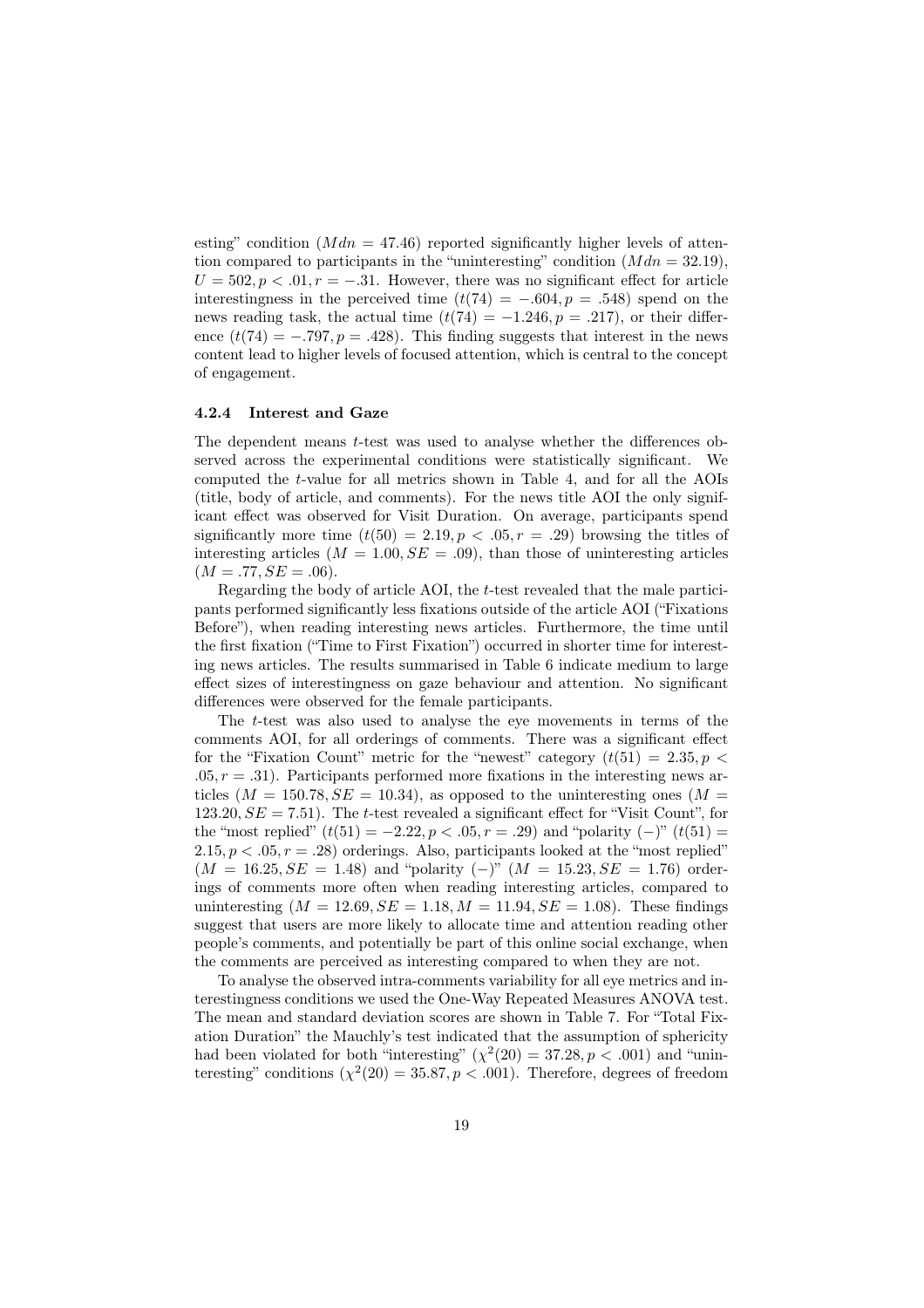esting" condition  $(Mdn = 47.46)$  reported significantly higher levels of attention compared to participants in the "uninteresting" condition  $(Mdn = 32.19)$ ,  $U = 502, p < 0.01, r = -.31$ . However, there was no significant effect for article interestingness in the perceived time  $(t(74) = -.604, p = .548)$  spend on the news reading task, the actual time  $(t(74) = -1.246, p = .217)$ , or their difference  $(t/74) = -.797, p = .428$ . This finding suggests that interest in the news content lead to higher levels of focused attention, which is central to the concept of engagement.

#### 4.2.4 Interest and Gaze

The dependent means *t*-test was used to analyse whether the differences observed across the experimental conditions were statistically significant. We computed the *t*-value for all metrics shown in Table 4, and for all the AOIs (title, body of article, and comments). For the news title AOI the only significant effect was observed for Visit Duration. On average, participants spend significantly more time  $(t(50) = 2.19, p < .05, r = .29)$  browsing the titles of interesting articles  $(M = 1.00, SE = .09)$ , than those of uninteresting articles  $(M = .77, SE = .06)$ .

Regarding the body of article AOI, the *t*-test revealed that the male participants performed significantly less fixations outside of the article AOI ("Fixations Before"), when reading interesting news articles. Furthermore, the time until the first fixation ("Time to First Fixation") occurred in shorter time for interesting news articles. The results summarised in Table 6 indicate medium to large effect sizes of interestingness on gaze behaviour and attention. No significant differences were observed for the female participants.

The *t*-test was also used to analyse the eye movements in terms of the comments AOI, for all orderings of comments. There was a significant effect for the "Fixation Count" metric for the "newest" category  $(t(51) = 2.35, p <$  $.05, r = .31$ ). Participants performed more fixations in the interesting news articles  $(M = 150.78, SE = 10.34)$ , as opposed to the uninteresting ones  $(M =$ 123.20,  $SE = 7.51$ ). The *t*-test revealed a significant effect for "Visit Count", for the "most replied"  $(t(51) = -2.22, p < .05, r = .29)$  and "polarity  $(-)$ "  $(t(51) =$  $2.15, p < .05, r = .28$  orderings. Also, participants looked at the "most replied"  $(M = 16.25, SE = 1.48)$  and "polarity  $(-)$ "  $(M = 15.23, SE = 1.76)$  orderings of comments more often when reading interesting articles, compared to uninteresting  $(M = 12.69, SE = 1.18, M = 11.94, SE = 1.08)$ . These findings suggest that users are more likely to allocate time and attention reading other people's comments, and potentially be part of this online social exchange, when the comments are perceived as interesting compared to when they are not.

To analyse the observed intra-comments variability for all eye metrics and interestingness conditions we used the One-Way Repeated Measures ANOVA test. The mean and standard deviation scores are shown in Table 7. For "Total Fixation Duration" the Mauchly's test indicated that the assumption of sphericity had been violated for both "interesting"  $(\chi^2(20) = 37.28, p < .001)$  and "uninteresting" conditions  $(\chi^2(20) = 35.87, p < .001)$ . Therefore, degrees of freedom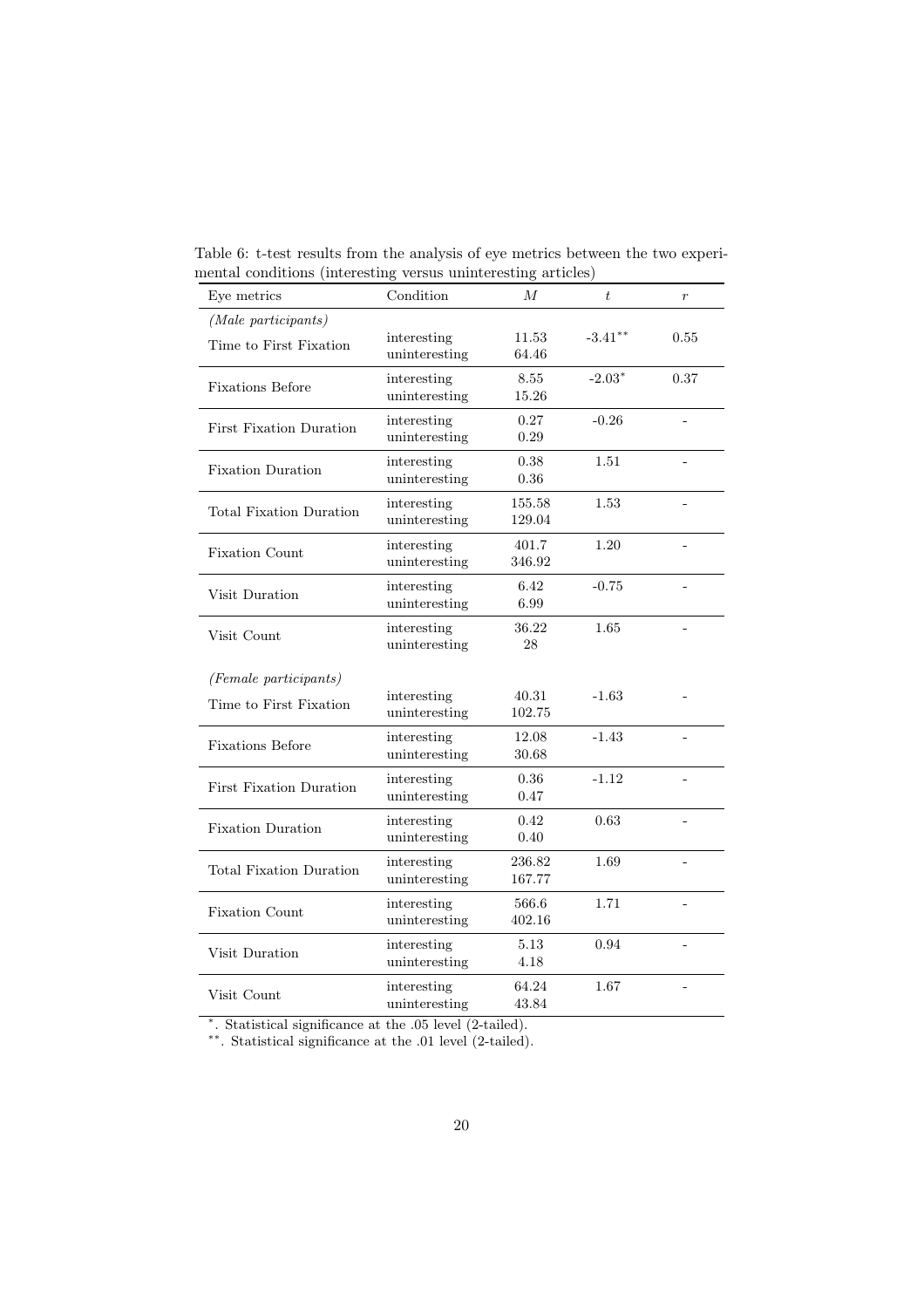| Eye metrics                    | Condition                    | М              | $\boldsymbol{t}$ | $\boldsymbol{r}$ |
|--------------------------------|------------------------------|----------------|------------------|------------------|
| (Male participants)            |                              |                |                  |                  |
| Time to First Fixation         | interesting                  | 11.53          | $-3.41***$       | 0.55             |
|                                | uninteresting                | 64.46          |                  |                  |
| <b>Fixations Before</b>        | interesting<br>uninteresting | 8.55<br>15.26  | $-2.03*$         | 0.37             |
|                                |                              | 0.27           | $-0.26$          |                  |
| <b>First Fixation Duration</b> | interesting<br>uninteresting | 0.29           |                  |                  |
|                                | interesting                  | 0.38           | 1.51             |                  |
| <b>Fixation Duration</b>       | uninteresting                | 0.36           |                  |                  |
|                                | interesting                  | 155.58         | 1.53             |                  |
| Total Fixation Duration        | uninteresting                | 129.04         |                  |                  |
| <b>Fixation Count</b>          | interesting                  | 401.7          | 1.20             |                  |
|                                | uninteresting                | 346.92         |                  |                  |
| Visit Duration                 | interesting                  | 6.42           | $-0.75$          |                  |
|                                | uninteresting                | 6.99           |                  |                  |
| Visit Count                    | interesting<br>uninteresting | 36.22<br>28    | 1.65             |                  |
|                                |                              |                |                  |                  |
| (Female participants)          |                              |                |                  |                  |
| Time to First Fixation         | interesting                  | 40.31          | $-1.63$          |                  |
|                                | uninteresting                | 102.75         |                  |                  |
| <b>Fixations Before</b>        | interesting<br>uninteresting | 12.08<br>30.68 | $-1.43$          |                  |
|                                | interesting                  | 0.36           | $-1.12$          |                  |
| <b>First Fixation Duration</b> | uninteresting                | 0.47           |                  |                  |
|                                | interesting                  | 0.42           | 0.63             |                  |
| <b>Fixation Duration</b>       | uninteresting                | 0.40           |                  |                  |
| <b>Total Fixation Duration</b> | interesting                  | 236.82         | 1.69             |                  |
|                                | uninteresting                | 167.77         |                  |                  |
| <b>Fixation Count</b>          | interesting                  | 566.6          | 1.71             |                  |
|                                | uninteresting                | 402.16         |                  |                  |
| Visit Duration                 | interesting                  | 5.13           | 0.94             |                  |
|                                | uninteresting                | 4.18           |                  |                  |
| Visit Count                    | interesting                  | 64.24          | 1.67             |                  |
|                                | uninteresting                | 43.84          |                  |                  |

Table 6: t-test results from the analysis of eye metrics between the two experimental conditions (interesting versus uninteresting articles)

⇤. Statistical significance at the .05 level (2-tailed).

⇤⇤. Statistical significance at the .01 level (2-tailed).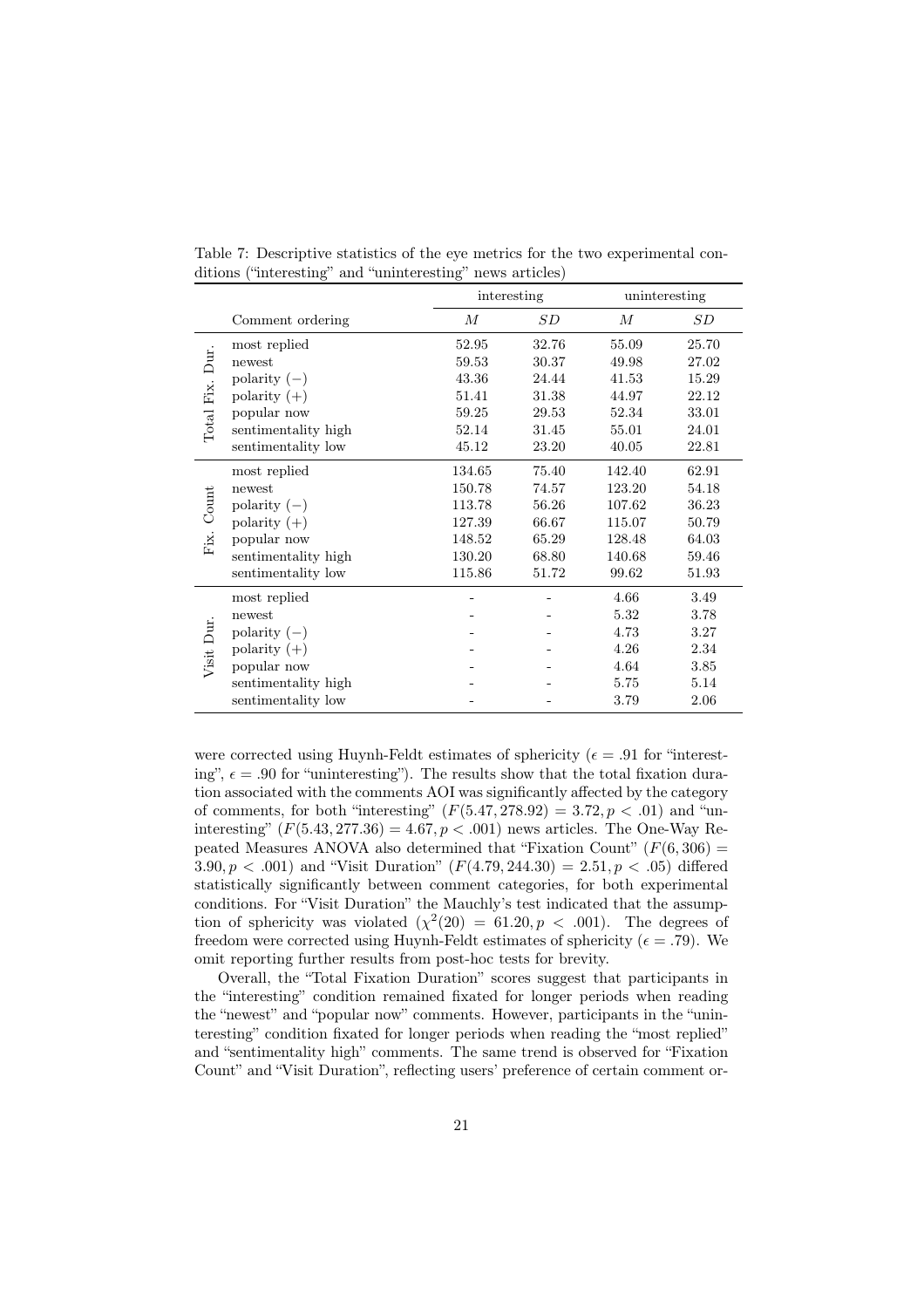|               |                      | interesting      |       | uninteresting |       |  |
|---------------|----------------------|------------------|-------|---------------|-------|--|
|               | Comment ordering     | $\boldsymbol{M}$ | SD    | М             | SD    |  |
|               | most replied         | 52.95            | 32.76 | 55.09         | 25.70 |  |
| Dur.          | newest               | 59.53            | 30.37 | 49.98         | 27.02 |  |
|               | polarity $(-)$       | 43.36            | 24.44 | 41.53         | 15.29 |  |
| Fix.          | polarity $(+)$       | 51.41            | 31.38 | 44.97         | 22.12 |  |
| Total.        | popular now          | 59.25            | 29.53 | 52.34         | 33.01 |  |
|               | sentimentality high  | 52.14            | 31.45 | 55.01         | 24.01 |  |
|               | sentimentality low   | 45.12            | 23.20 | 40.05         | 22.81 |  |
| Count<br>Fix. | most replied         | 134.65           | 75.40 | 142.40        | 62.91 |  |
|               | newest               | 150.78           | 74.57 | 123.20        | 54.18 |  |
|               | $\text{polarity}(-)$ | 113.78           | 56.26 | 107.62        | 36.23 |  |
|               | polarity $(+)$       | 127.39           | 66.67 | 115.07        | 50.79 |  |
|               | popular now          | 148.52           | 65.29 | 128.48        | 64.03 |  |
|               | sentimentality high  | 130.20           | 68.80 | 140.68        | 59.46 |  |
|               | sentimentality low   | 115.86           | 51.72 | 99.62         | 51.93 |  |
|               | most replied         |                  |       | 4.66          | 3.49  |  |
| Visit Dur.    | newest               |                  |       | 5.32          | 3.78  |  |
|               | polarity $(-)$       |                  |       | 4.73          | 3.27  |  |
|               | polarity $(+)$       |                  |       | 4.26          | 2.34  |  |
|               | popular now          |                  |       | 4.64          | 3.85  |  |
|               | sentimentality high  |                  |       | 5.75          | 5.14  |  |
|               | sentimentality low   |                  |       | 3.79          | 2.06  |  |

Table 7: Descriptive statistics of the eye metrics for the two experimental conditions ("interesting" and "uninteresting" news articles)

were corrected using Huynh-Feldt estimates of sphericity ( $\epsilon = .91$  for "interesting",  $\epsilon = .90$  for "uninteresting"). The results show that the total fixation duration associated with the comments AOI was significantly affected by the category of comments, for both "interesting"  $(F(5.47, 278.92) = 3.72, p < .01)$  and "uninteresting"  $(F(5.43, 277.36) = 4.67, p < .001)$  news articles. The One-Way Repeated Measures ANOVA also determined that "Fixation Count"  $(F(6, 306) =$ 3.90,  $p < .001$  and "Visit Duration"  $(F(4.79, 244.30) = 2.51, p < .05)$  differed statistically significantly between comment categories, for both experimental conditions. For "Visit Duration" the Mauchly's test indicated that the assumption of sphericity was violated  $(\chi^2(20) = 61.20, p < .001)$ . The degrees of freedom were corrected using Huynh-Feldt estimates of sphericity ( $\epsilon = .79$ ). We omit reporting further results from post-hoc tests for brevity.

Overall, the "Total Fixation Duration" scores suggest that participants in the "interesting" condition remained fixated for longer periods when reading the "newest" and "popular now" comments. However, participants in the "uninteresting" condition fixated for longer periods when reading the "most replied" and "sentimentality high" comments. The same trend is observed for "Fixation Count" and "Visit Duration", reflecting users' preference of certain comment or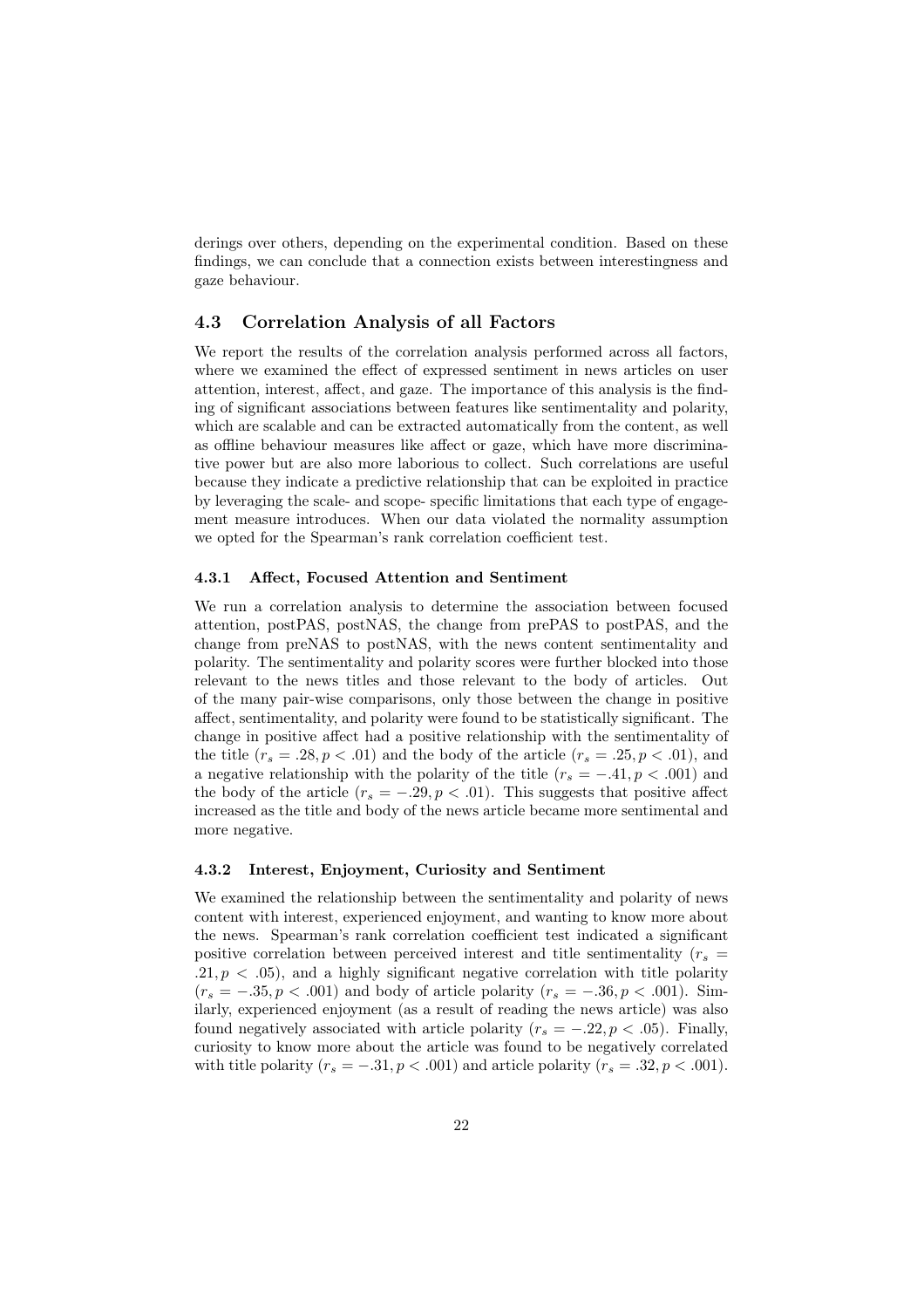derings over others, depending on the experimental condition. Based on these findings, we can conclude that a connection exists between interestingness and gaze behaviour.

### 4.3 Correlation Analysis of all Factors

We report the results of the correlation analysis performed across all factors, where we examined the effect of expressed sentiment in news articles on user attention, interest, affect, and gaze. The importance of this analysis is the finding of significant associations between features like sentimentality and polarity, which are scalable and can be extracted automatically from the content, as well as offline behaviour measures like affect or gaze, which have more discriminative power but are also more laborious to collect. Such correlations are useful because they indicate a predictive relationship that can be exploited in practice by leveraging the scale- and scope- specific limitations that each type of engagement measure introduces. When our data violated the normality assumption we opted for the Spearman's rank correlation coefficient test.

#### 4.3.1 Affect, Focused Attention and Sentiment

We run a correlation analysis to determine the association between focused attention, postPAS, postNAS, the change from prePAS to postPAS, and the change from preNAS to postNAS, with the news content sentimentality and polarity. The sentimentality and polarity scores were further blocked into those relevant to the news titles and those relevant to the body of articles. Out of the many pair-wise comparisons, only those between the change in positive affect, sentimentality, and polarity were found to be statistically significant. The change in positive affect had a positive relationship with the sentimentality of the title  $(r_s = .28, p < .01)$  and the body of the article  $(r_s = .25, p < .01)$ , and a negative relationship with the polarity of the title  $(r_s = -.41, p < .001)$  and the body of the article  $(r_s = -.29, p < .01)$ . This suggests that positive affect increased as the title and body of the news article became more sentimental and more negative.

#### 4.3.2 Interest, Enjoyment, Curiosity and Sentiment

We examined the relationship between the sentimentality and polarity of news content with interest, experienced enjoyment, and wanting to know more about the news. Spearman's rank correlation coefficient test indicated a significant positive correlation between perceived interest and title sentimentality  $(r<sub>s</sub> =$  $.21, p < .05$ ), and a highly significant negative correlation with title polarity  $(r_s = -.35, p < .001)$  and body of article polarity  $(r_s = -.36, p < .001)$ . Similarly, experienced enjoyment (as a result of reading the news article) was also found negatively associated with article polarity  $(r_s = -.22, p < .05)$ . Finally, curiosity to know more about the article was found to be negatively correlated with title polarity  $(r_s = -.31, p < .001)$  and article polarity  $(r_s = .32, p < .001)$ .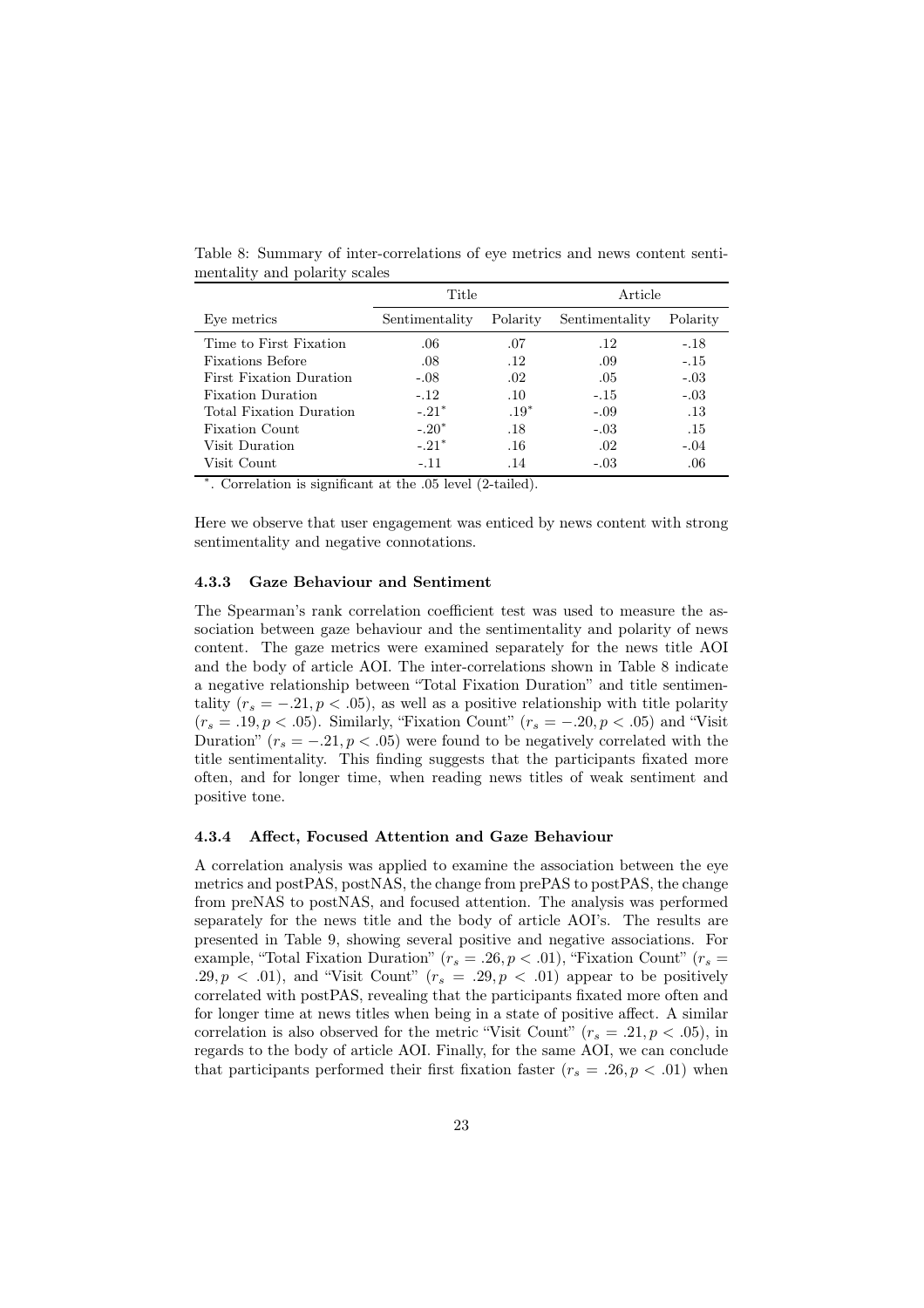|                                | Title          |          | Article        |          |  |
|--------------------------------|----------------|----------|----------------|----------|--|
| Eve metrics                    | Sentimentality | Polarity | Sentimentality | Polarity |  |
| Time to First Fixation         | .06            | .07      | .12            | $-.18$   |  |
| <b>Fixations Before</b>        | .08            | .12      | .09            | $-.15$   |  |
| <b>First Fixation Duration</b> | $-.08$         | .02      | .05            | $-.03$   |  |
| <b>Fixation Duration</b>       | $-.12.$        | .10      | $-.15$         | $-.03$   |  |
| Total Fixation Duration        | $-.21*$        | $.19*$   | $-.09$         | .13      |  |
| <b>Fixation Count</b>          | $-.20*$        | .18      | $-.03$         | .15      |  |
| Visit Duration                 | $-.21*$        | .16      | .02            | $-.04$   |  |
| Visit Count                    | $-.11$         | .14      | $-.03$         | .06      |  |

Table 8: Summary of inter-correlations of eye metrics and news content sentimentality and polarity scales

⇤. Correlation is significant at the .05 level (2-tailed).

Here we observe that user engagement was enticed by news content with strong sentimentality and negative connotations.

#### 4.3.3 Gaze Behaviour and Sentiment

The Spearman's rank correlation coefficient test was used to measure the association between gaze behaviour and the sentimentality and polarity of news content. The gaze metrics were examined separately for the news title AOI and the body of article AOI. The inter-correlations shown in Table 8 indicate a negative relationship between "Total Fixation Duration" and title sentimentality  $(r_s = -.21, p < .05)$ , as well as a positive relationship with title polarity  $(r<sub>s</sub> = .19, p < .05)$ . Similarly, "Fixation Count"  $(r<sub>s</sub> = -.20, p < .05)$  and "Visit Duration"  $(r_s = -.21, p < .05)$  were found to be negatively correlated with the title sentimentality. This finding suggests that the participants fixated more often, and for longer time, when reading news titles of weak sentiment and positive tone.

#### 4.3.4 Affect, Focused Attention and Gaze Behaviour

A correlation analysis was applied to examine the association between the eye metrics and postPAS, postNAS, the change from prePAS to postPAS, the change from preNAS to postNAS, and focused attention. The analysis was performed separately for the news title and the body of article AOI's. The results are presented in Table 9, showing several positive and negative associations. For example, "Total Fixation Duration" ( $r_s = .26, p < .01$ ), "Fixation Count" ( $r_s =$  $.29, p \lt 0.01$ , and "Visit Count"  $(r_s = .29, p \lt 0.01)$  appear to be positively correlated with postPAS, revealing that the participants fixated more often and for longer time at news titles when being in a state of positive affect. A similar correlation is also observed for the metric "Visit Count"  $(r_s = .21, p < .05)$ , in regards to the body of article AOI. Finally, for the same AOI, we can conclude that participants performed their first fixation faster  $(r_s = .26, p < .01)$  when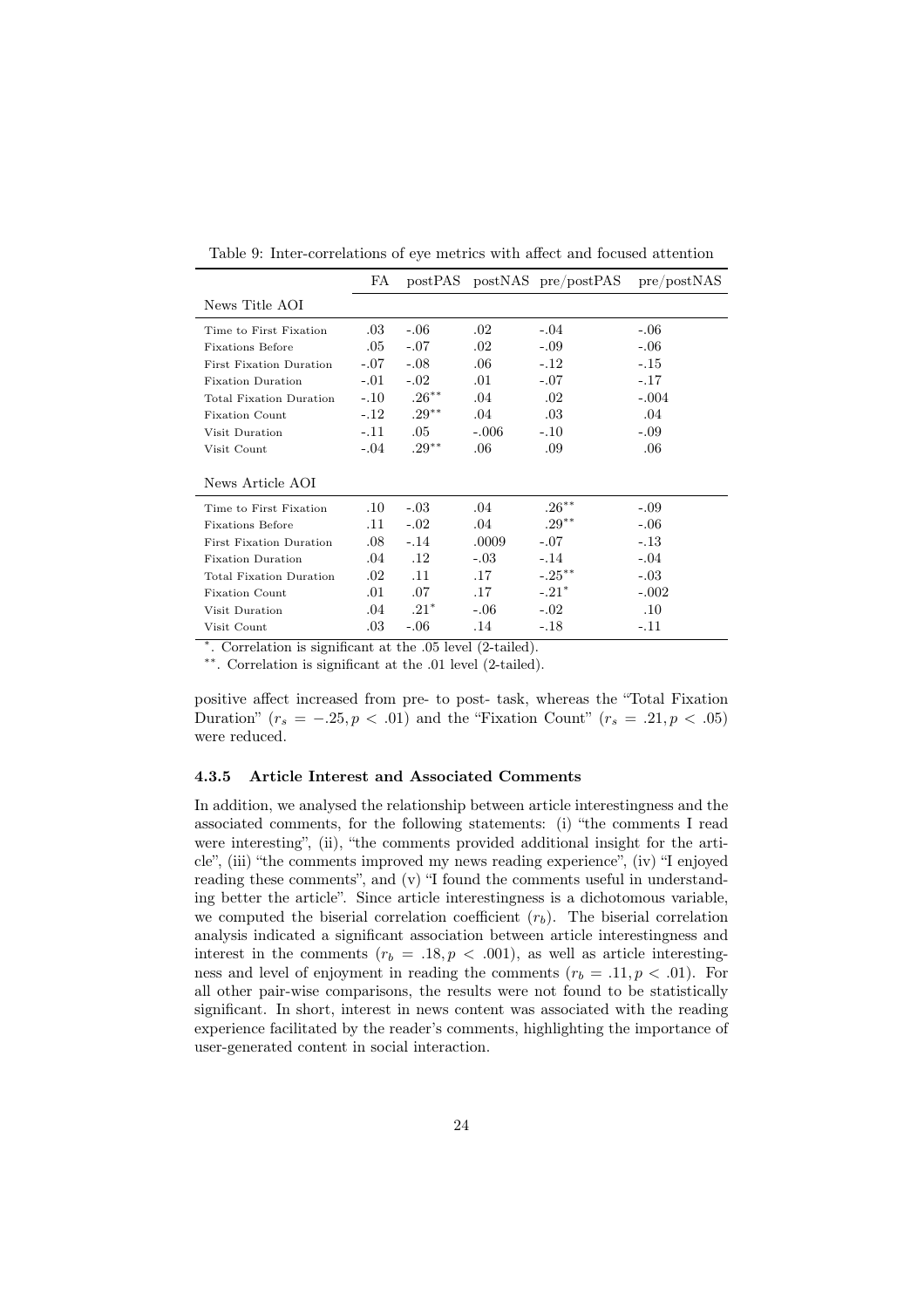|                                | FA      |          |         | postPAS postNAS pre/postPAS | pre/postNAS |
|--------------------------------|---------|----------|---------|-----------------------------|-------------|
| News Title AOI                 |         |          |         |                             |             |
| Time to First Fixation         | $.03\,$ | $-.06$   | $.02\,$ | $-.04$                      | $-.06$      |
| <b>Fixations Before</b>        | .05     | $-.07$   | $.02\,$ | $-.09$                      | $-.06$      |
| <b>First Fixation Duration</b> | $-.07$  | $-.08$   | .06     | $-.12$                      | $-.15$      |
| <b>Fixation Duration</b>       | $-.01$  | $-.02$   | .01     | $-.07$                      | $-.17$      |
| <b>Total Fixation Duration</b> | $-.10$  | $.26***$ | .04     | .02                         | $-.004$     |
| <b>Fixation Count</b>          | $-.12$  | $.29***$ | .04     | .03                         | .04         |
| Visit Duration                 | $-.11$  | $.05\,$  | $-.006$ | $-.10$                      | $-.09$      |
| Visit Count                    | $-.04$  | $.29***$ | .06     | .09                         | .06         |
| News Article AOI               |         |          |         |                             |             |
| Time to First Fixation         | $.10\,$ | $-.03$   | .04     | $.26***$                    | $-.09$      |
| <b>Fixations Before</b>        | .11     | $-.02$   | .04     | $.29***$                    | $-.06$      |
| <b>First Fixation Duration</b> | .08     | $-.14$   | .0009   | $-.07$                      | $-.13$      |
| <b>Fixation Duration</b>       | .04     | $.12\,$  | $-.03$  | $-.14$                      | $-.04$      |
| <b>Total Fixation Duration</b> | $.02\,$ | .11      | .17     | $-.25***$                   | $-.03$      |
| <b>Fixation Count</b>          | .01     | .07      | .17     | $-.21*$                     | $-.002$     |
| Visit Duration                 | .04     | $.21*$   | $-.06$  | $-.02$                      | $.10\,$     |
| Visit Count                    | .03     | $-.06$   | .14     | $-.18$                      | $-.11$      |

Table 9: Inter-correlations of eye metrics with affect and focused attention

⇤. Correlation is significant at the .05 level (2-tailed).

⇤⇤. Correlation is significant at the .01 level (2-tailed).

positive affect increased from pre- to post- task, whereas the "Total Fixation Duration" ( $r_s = -.25, p < .01$ ) and the "Fixation Count" ( $r_s = .21, p < .05$ ) were reduced.

#### 4.3.5 Article Interest and Associated Comments

In addition, we analysed the relationship between article interestingness and the associated comments, for the following statements: (i) "the comments I read were interesting", (ii), "the comments provided additional insight for the article", (iii) "the comments improved my news reading experience", (iv) "I enjoyed reading these comments", and (v) "I found the comments useful in understanding better the article". Since article interestingness is a dichotomous variable, we computed the biserial correlation coefficient (*rb*). The biserial correlation analysis indicated a significant association between article interestingness and interest in the comments  $(r_b = .18, p < .001)$ , as well as article interestingness and level of enjoyment in reading the comments  $(r_b = .11, p < .01)$ . For all other pair-wise comparisons, the results were not found to be statistically significant. In short, interest in news content was associated with the reading experience facilitated by the reader's comments, highlighting the importance of user-generated content in social interaction.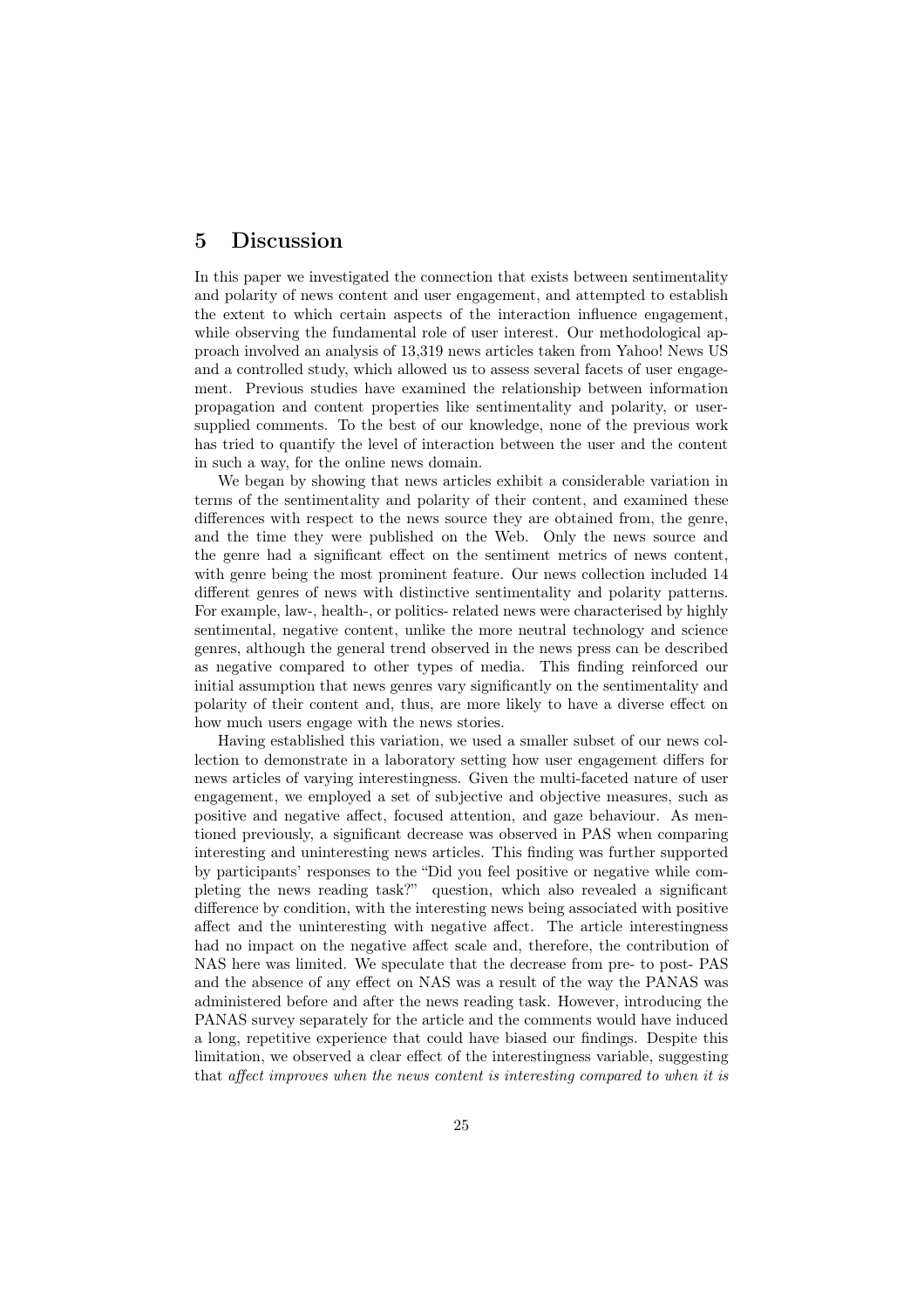# 5 Discussion

In this paper we investigated the connection that exists between sentimentality and polarity of news content and user engagement, and attempted to establish the extent to which certain aspects of the interaction influence engagement, while observing the fundamental role of user interest. Our methodological approach involved an analysis of 13,319 news articles taken from Yahoo! News US and a controlled study, which allowed us to assess several facets of user engagement. Previous studies have examined the relationship between information propagation and content properties like sentimentality and polarity, or usersupplied comments. To the best of our knowledge, none of the previous work has tried to quantify the level of interaction between the user and the content in such a way, for the online news domain.

We began by showing that news articles exhibit a considerable variation in terms of the sentimentality and polarity of their content, and examined these differences with respect to the news source they are obtained from, the genre, and the time they were published on the Web. Only the news source and the genre had a significant effect on the sentiment metrics of news content, with genre being the most prominent feature. Our news collection included 14 different genres of news with distinctive sentimentality and polarity patterns. For example, law-, health-, or politics- related news were characterised by highly sentimental, negative content, unlike the more neutral technology and science genres, although the general trend observed in the news press can be described as negative compared to other types of media. This finding reinforced our initial assumption that news genres vary significantly on the sentimentality and polarity of their content and, thus, are more likely to have a diverse effect on how much users engage with the news stories.

Having established this variation, we used a smaller subset of our news collection to demonstrate in a laboratory setting how user engagement differs for news articles of varying interestingness. Given the multi-faceted nature of user engagement, we employed a set of subjective and objective measures, such as positive and negative affect, focused attention, and gaze behaviour. As mentioned previously, a significant decrease was observed in PAS when comparing interesting and uninteresting news articles. This finding was further supported by participants' responses to the "Did you feel positive or negative while completing the news reading task?" question, which also revealed a significant difference by condition, with the interesting news being associated with positive affect and the uninteresting with negative affect. The article interestingness had no impact on the negative affect scale and, therefore, the contribution of NAS here was limited. We speculate that the decrease from pre- to post- PAS and the absence of any effect on NAS was a result of the way the PANAS was administered before and after the news reading task. However, introducing the PANAS survey separately for the article and the comments would have induced a long, repetitive experience that could have biased our findings. Despite this limitation, we observed a clear effect of the interestingness variable, suggesting that *a*ff*ect improves when the news content is interesting compared to when it is*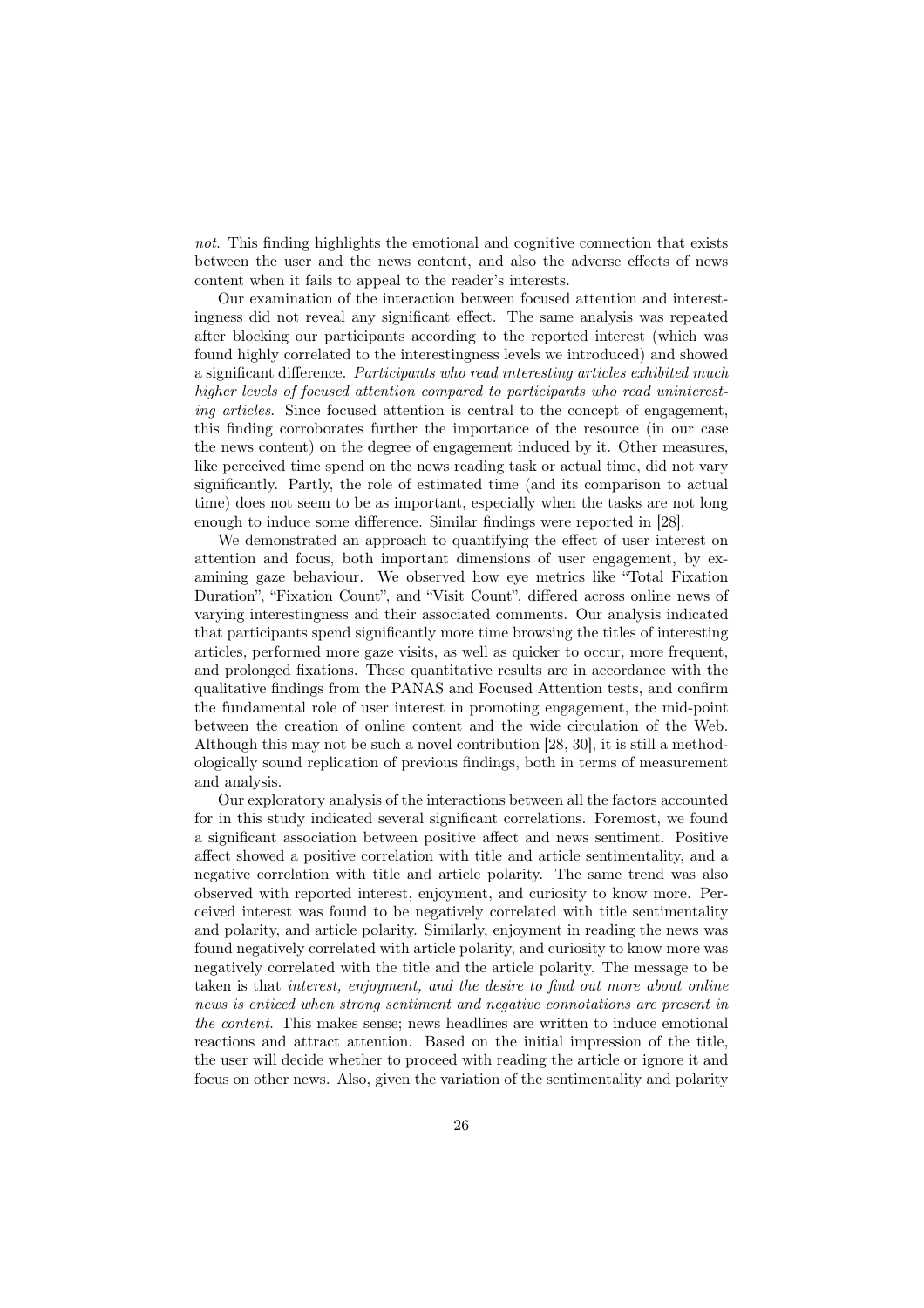*not*. This finding highlights the emotional and cognitive connection that exists between the user and the news content, and also the adverse effects of news content when it fails to appeal to the reader's interests.

Our examination of the interaction between focused attention and interestingness did not reveal any significant effect. The same analysis was repeated after blocking our participants according to the reported interest (which was found highly correlated to the interestingness levels we introduced) and showed a significant difference. *Participants who read interesting articles exhibited much higher levels of focused attention compared to participants who read uninteresting articles*. Since focused attention is central to the concept of engagement, this finding corroborates further the importance of the resource (in our case the news content) on the degree of engagement induced by it. Other measures, like perceived time spend on the news reading task or actual time, did not vary significantly. Partly, the role of estimated time (and its comparison to actual time) does not seem to be as important, especially when the tasks are not long enough to induce some difference. Similar findings were reported in [28].

We demonstrated an approach to quantifying the effect of user interest on attention and focus, both important dimensions of user engagement, by examining gaze behaviour. We observed how eye metrics like "Total Fixation Duration", "Fixation Count", and "Visit Count", differed across online news of varying interestingness and their associated comments. Our analysis indicated that participants spend significantly more time browsing the titles of interesting articles, performed more gaze visits, as well as quicker to occur, more frequent, and prolonged fixations. These quantitative results are in accordance with the qualitative findings from the PANAS and Focused Attention tests, and confirm the fundamental role of user interest in promoting engagement, the mid-point between the creation of online content and the wide circulation of the Web. Although this may not be such a novel contribution [28, 30], it is still a methodologically sound replication of previous findings, both in terms of measurement and analysis.

Our exploratory analysis of the interactions between all the factors accounted for in this study indicated several significant correlations. Foremost, we found a significant association between positive affect and news sentiment. Positive affect showed a positive correlation with title and article sentimentality, and a negative correlation with title and article polarity. The same trend was also observed with reported interest, enjoyment, and curiosity to know more. Perceived interest was found to be negatively correlated with title sentimentality and polarity, and article polarity. Similarly, enjoyment in reading the news was found negatively correlated with article polarity, and curiosity to know more was negatively correlated with the title and the article polarity. The message to be taken is that *interest, enjoyment, and the desire to find out more about online news is enticed when strong sentiment and negative connotations are present in the content*. This makes sense; news headlines are written to induce emotional reactions and attract attention. Based on the initial impression of the title, the user will decide whether to proceed with reading the article or ignore it and focus on other news. Also, given the variation of the sentimentality and polarity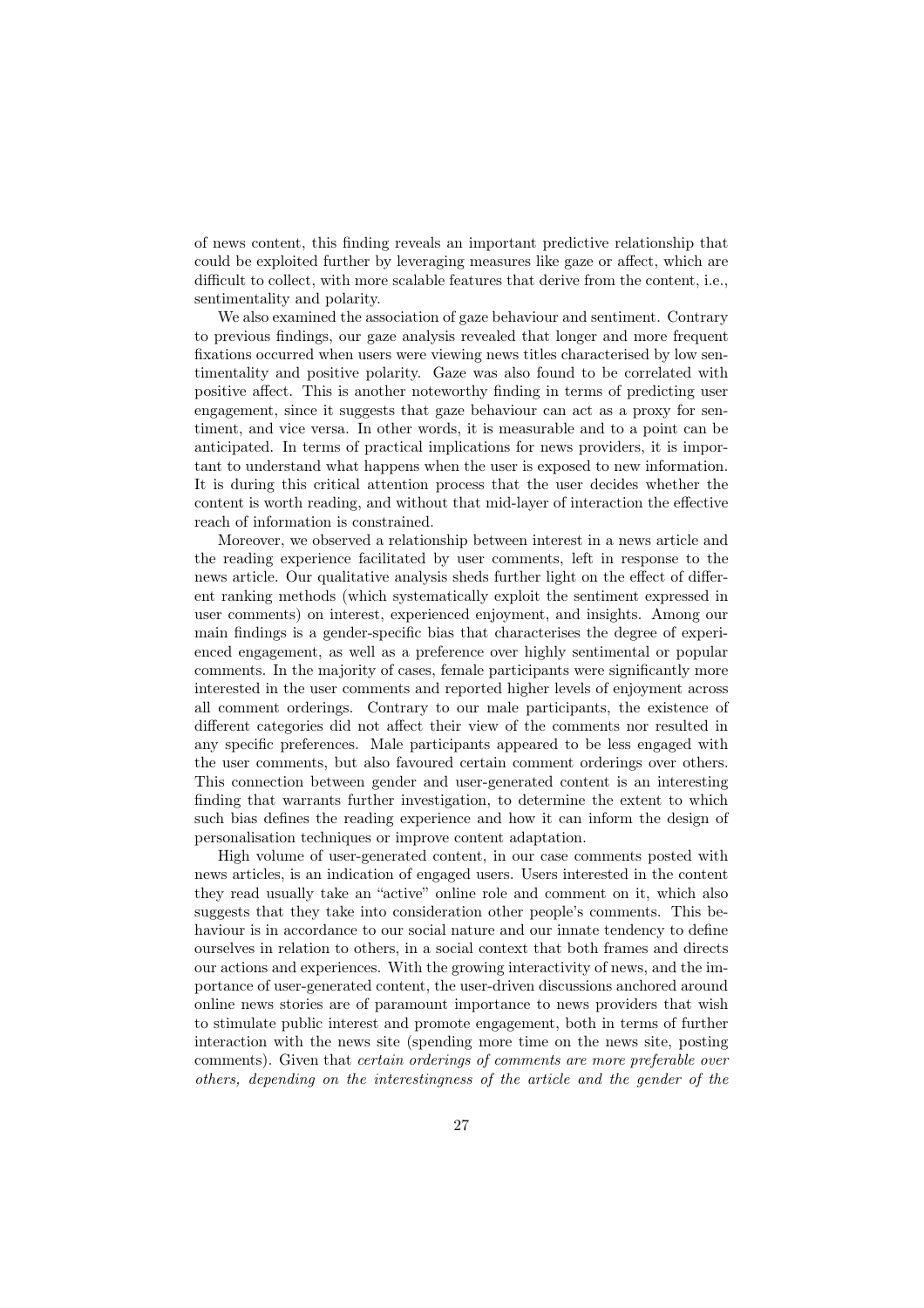of news content, this finding reveals an important predictive relationship that could be exploited further by leveraging measures like gaze or affect, which are difficult to collect, with more scalable features that derive from the content, i.e., sentimentality and polarity.

We also examined the association of gaze behaviour and sentiment. Contrary to previous findings, our gaze analysis revealed that longer and more frequent fixations occurred when users were viewing news titles characterised by low sentimentality and positive polarity. Gaze was also found to be correlated with positive affect. This is another noteworthy finding in terms of predicting user engagement, since it suggests that gaze behaviour can act as a proxy for sentiment, and vice versa. In other words, it is measurable and to a point can be anticipated. In terms of practical implications for news providers, it is important to understand what happens when the user is exposed to new information. It is during this critical attention process that the user decides whether the content is worth reading, and without that mid-layer of interaction the effective reach of information is constrained.

Moreover, we observed a relationship between interest in a news article and the reading experience facilitated by user comments, left in response to the news article. Our qualitative analysis sheds further light on the effect of different ranking methods (which systematically exploit the sentiment expressed in user comments) on interest, experienced enjoyment, and insights. Among our main findings is a gender-specific bias that characterises the degree of experienced engagement, as well as a preference over highly sentimental or popular comments. In the majority of cases, female participants were significantly more interested in the user comments and reported higher levels of enjoyment across all comment orderings. Contrary to our male participants, the existence of different categories did not affect their view of the comments nor resulted in any specific preferences. Male participants appeared to be less engaged with the user comments, but also favoured certain comment orderings over others. This connection between gender and user-generated content is an interesting finding that warrants further investigation, to determine the extent to which such bias defines the reading experience and how it can inform the design of personalisation techniques or improve content adaptation.

High volume of user-generated content, in our case comments posted with news articles, is an indication of engaged users. Users interested in the content they read usually take an "active" online role and comment on it, which also suggests that they take into consideration other people's comments. This behaviour is in accordance to our social nature and our innate tendency to define ourselves in relation to others, in a social context that both frames and directs our actions and experiences. With the growing interactivity of news, and the importance of user-generated content, the user-driven discussions anchored around online news stories are of paramount importance to news providers that wish to stimulate public interest and promote engagement, both in terms of further interaction with the news site (spending more time on the news site, posting comments). Given that *certain orderings of comments are more preferable over others, depending on the interestingness of the article and the gender of the*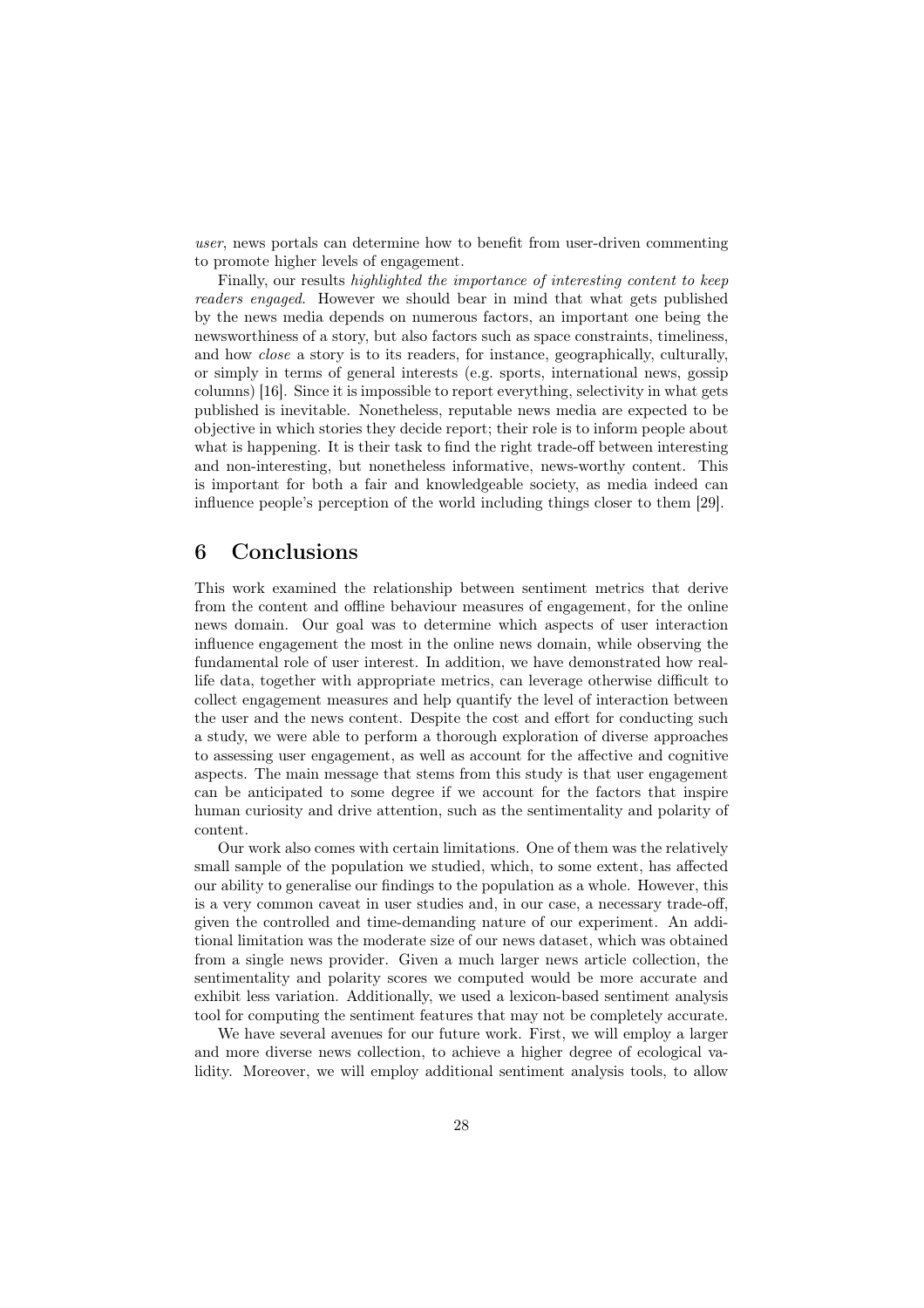*user*, news portals can determine how to benefit from user-driven commenting to promote higher levels of engagement.

Finally, our results *highlighted the importance of interesting content to keep readers engaged*. However we should bear in mind that what gets published by the news media depends on numerous factors, an important one being the newsworthiness of a story, but also factors such as space constraints, timeliness, and how *close* a story is to its readers, for instance, geographically, culturally, or simply in terms of general interests (e.g. sports, international news, gossip columns) [16]. Since it is impossible to report everything, selectivity in what gets published is inevitable. Nonetheless, reputable news media are expected to be objective in which stories they decide report; their role is to inform people about what is happening. It is their task to find the right trade-off between interesting and non-interesting, but nonetheless informative, news-worthy content. This is important for both a fair and knowledgeable society, as media indeed can influence people's perception of the world including things closer to them [29].

# 6 Conclusions

This work examined the relationship between sentiment metrics that derive from the content and offline behaviour measures of engagement, for the online news domain. Our goal was to determine which aspects of user interaction influence engagement the most in the online news domain, while observing the fundamental role of user interest. In addition, we have demonstrated how reallife data, together with appropriate metrics, can leverage otherwise difficult to collect engagement measures and help quantify the level of interaction between the user and the news content. Despite the cost and effort for conducting such a study, we were able to perform a thorough exploration of diverse approaches to assessing user engagement, as well as account for the affective and cognitive aspects. The main message that stems from this study is that user engagement can be anticipated to some degree if we account for the factors that inspire human curiosity and drive attention, such as the sentimentality and polarity of content.

Our work also comes with certain limitations. One of them was the relatively small sample of the population we studied, which, to some extent, has affected our ability to generalise our findings to the population as a whole. However, this is a very common caveat in user studies and, in our case, a necessary trade-off, given the controlled and time-demanding nature of our experiment. An additional limitation was the moderate size of our news dataset, which was obtained from a single news provider. Given a much larger news article collection, the sentimentality and polarity scores we computed would be more accurate and exhibit less variation. Additionally, we used a lexicon-based sentiment analysis tool for computing the sentiment features that may not be completely accurate.

We have several avenues for our future work. First, we will employ a larger and more diverse news collection, to achieve a higher degree of ecological validity. Moreover, we will employ additional sentiment analysis tools, to allow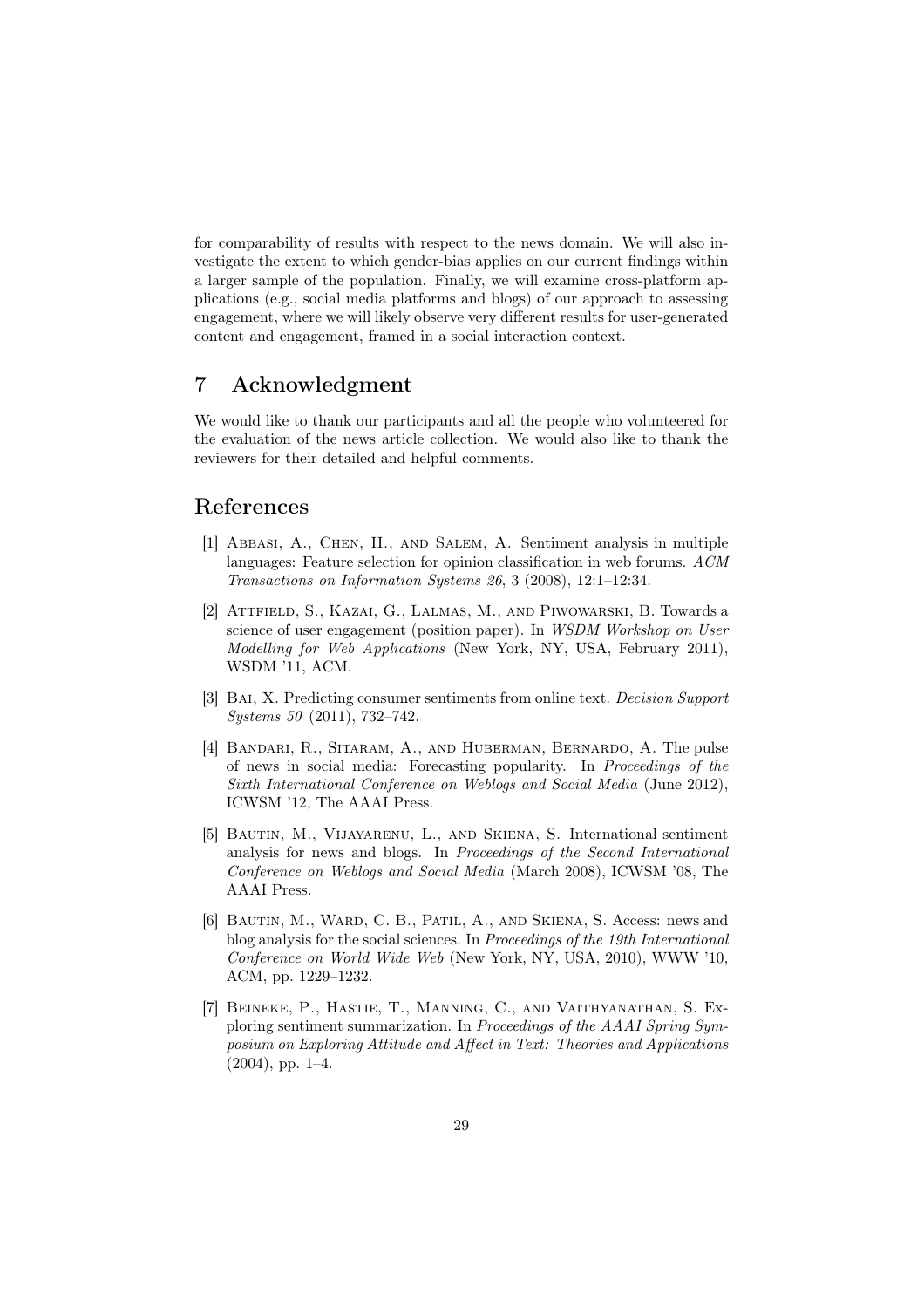for comparability of results with respect to the news domain. We will also investigate the extent to which gender-bias applies on our current findings within a larger sample of the population. Finally, we will examine cross-platform applications (e.g., social media platforms and blogs) of our approach to assessing engagement, where we will likely observe very different results for user-generated content and engagement, framed in a social interaction context.

# 7 Acknowledgment

We would like to thank our participants and all the people who volunteered for the evaluation of the news article collection. We would also like to thank the reviewers for their detailed and helpful comments.

# References

- [1] Abbasi, A., Chen, H., and Salem, A. Sentiment analysis in multiple languages: Feature selection for opinion classification in web forums. *ACM Transactions on Information Systems 26*, 3 (2008), 12:1–12:34.
- [2] Attfield, S., Kazai, G., Lalmas, M., and Piwowarski, B. Towards a science of user engagement (position paper). In *WSDM Workshop on User Modelling for Web Applications* (New York, NY, USA, February 2011), WSDM '11, ACM.
- [3] Bai, X. Predicting consumer sentiments from online text. *Decision Support Systems 50* (2011), 732–742.
- [4] Bandari, R., Sitaram, A., and Huberman, Bernardo, A. The pulse of news in social media: Forecasting popularity. In *Proceedings of the Sixth International Conference on Weblogs and Social Media* (June 2012), ICWSM '12, The AAAI Press.
- [5] Bautin, M., Vijayarenu, L., and Skiena, S. International sentiment analysis for news and blogs. In *Proceedings of the Second International Conference on Weblogs and Social Media* (March 2008), ICWSM '08, The AAAI Press.
- [6] Bautin, M., Ward, C. B., Patil, A., and Skiena, S. Access: news and blog analysis for the social sciences. In *Proceedings of the 19th International Conference on World Wide Web* (New York, NY, USA, 2010), WWW '10, ACM, pp. 1229–1232.
- [7] Beineke, P., Hastie, T., Manning, C., and Vaithyanathan, S. Exploring sentiment summarization. In *Proceedings of the AAAI Spring Symposium on Exploring Attitude and A*ff*ect in Text: Theories and Applications* (2004), pp. 1–4.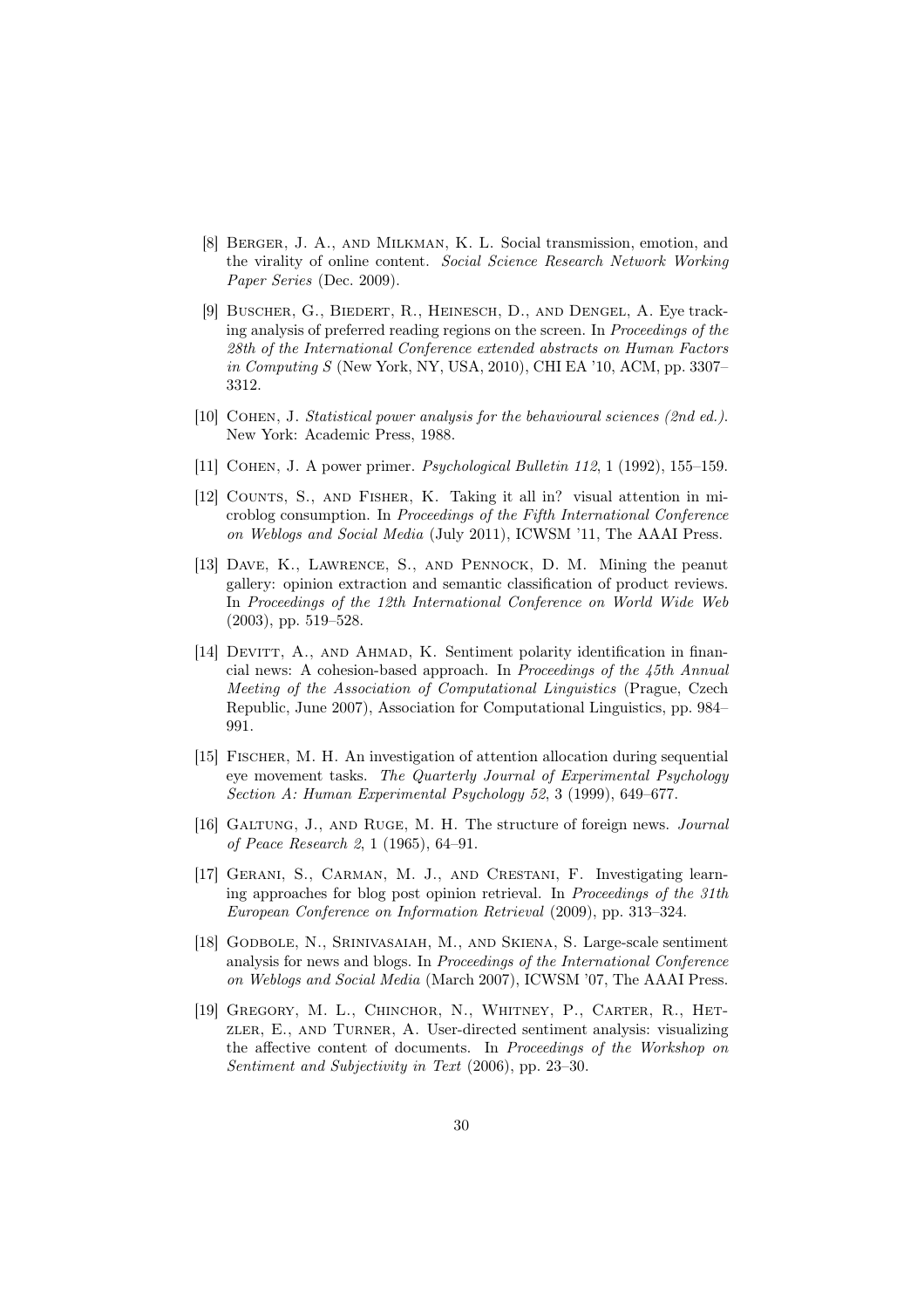- [8] Berger, J. A., and Milkman, K. L. Social transmission, emotion, and the virality of online content. *Social Science Research Network Working Paper Series* (Dec. 2009).
- [9] Buscher, G., Biedert, R., Heinesch, D., and Dengel, A. Eye tracking analysis of preferred reading regions on the screen. In *Proceedings of the 28th of the International Conference extended abstracts on Human Factors in Computing S* (New York, NY, USA, 2010), CHI EA '10, ACM, pp. 3307– 3312.
- [10] Cohen, J. *Statistical power analysis for the behavioural sciences (2nd ed.)*. New York: Academic Press, 1988.
- [11] Cohen, J. A power primer. *Psychological Bulletin 112*, 1 (1992), 155–159.
- [12] COUNTS, S., AND FISHER, K. Taking it all in? visual attention in microblog consumption. In *Proceedings of the Fifth International Conference on Weblogs and Social Media* (July 2011), ICWSM '11, The AAAI Press.
- [13] Dave, K., Lawrence, S., and Pennock, D. M. Mining the peanut gallery: opinion extraction and semantic classification of product reviews. In *Proceedings of the 12th International Conference on World Wide Web* (2003), pp. 519–528.
- [14] DEVITT, A., AND AHMAD, K. Sentiment polarity identification in financial news: A cohesion-based approach. In *Proceedings of the 45th Annual Meeting of the Association of Computational Linguistics* (Prague, Czech Republic, June 2007), Association for Computational Linguistics, pp. 984– 991.
- [15] Fischer, M. H. An investigation of attention allocation during sequential eye movement tasks. *The Quarterly Journal of Experimental Psychology Section A: Human Experimental Psychology 52*, 3 (1999), 649–677.
- [16] Galtung, J., and Ruge, M. H. The structure of foreign news. *Journal of Peace Research 2*, 1 (1965), 64–91.
- [17] GERANI, S., CARMAN, M. J., AND CRESTANI, F. Investigating learning approaches for blog post opinion retrieval. In *Proceedings of the 31th European Conference on Information Retrieval* (2009), pp. 313–324.
- [18] Godbole, N., Srinivasaiah, M., and Skiena, S. Large-scale sentiment analysis for news and blogs. In *Proceedings of the International Conference on Weblogs and Social Media* (March 2007), ICWSM '07, The AAAI Press.
- [19] GREGORY, M. L., CHINCHOR, N., WHITNEY, P., CARTER, R., HETzler, E., and Turner, A. User-directed sentiment analysis: visualizing the affective content of documents. In *Proceedings of the Workshop on Sentiment and Subjectivity in Text* (2006), pp. 23–30.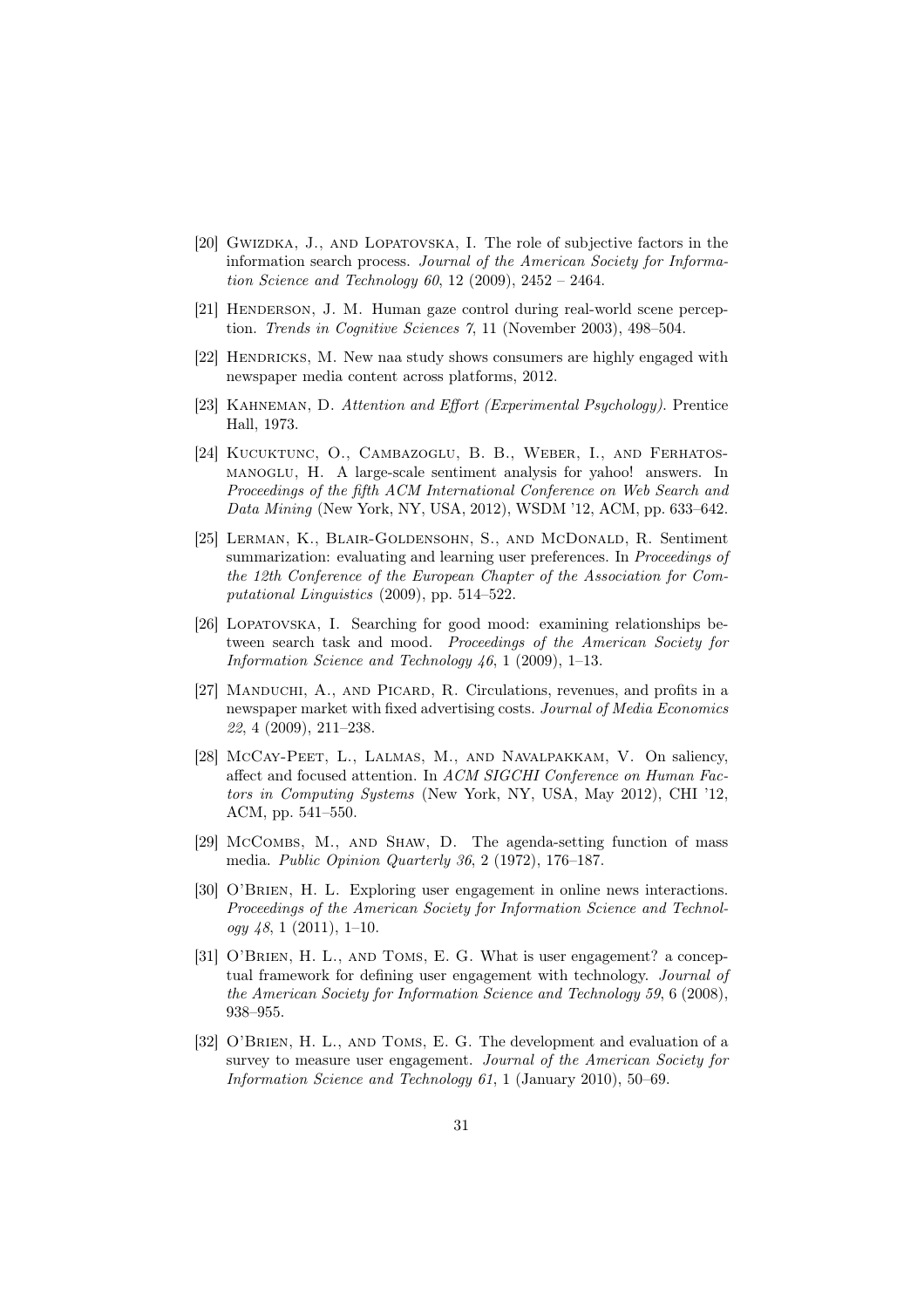- [20] GWIZDKA, J., AND LOPATOVSKA, I. The role of subjective factors in the information search process. *Journal of the American Society for Information Science and Technology 60*, 12 (2009), 2452 – 2464.
- [21] HENDERSON, J. M. Human gaze control during real-world scene perception. *Trends in Cognitive Sciences 7*, 11 (November 2003), 498–504.
- [22] HENDRICKS, M. New naa study shows consumers are highly engaged with newspaper media content across platforms, 2012.
- [23] Kahneman, D. *Attention and E*ff*ort (Experimental Psychology)*. Prentice Hall, 1973.
- [24] KUCUKTUNC, O., CAMBAZOGLU, B. B., WEBER, I., AND FERHATOSmanoglu, H. A large-scale sentiment analysis for yahoo! answers. In *Proceedings of the fifth ACM International Conference on Web Search and Data Mining* (New York, NY, USA, 2012), WSDM '12, ACM, pp. 633–642.
- [25] Lerman, K., Blair-Goldensohn, S., and McDonald, R. Sentiment summarization: evaluating and learning user preferences. In *Proceedings of the 12th Conference of the European Chapter of the Association for Computational Linguistics* (2009), pp. 514–522.
- [26] LOPATOVSKA, I. Searching for good mood: examining relationships between search task and mood. *Proceedings of the American Society for Information Science and Technology 46*, 1 (2009), 1–13.
- [27] Manduchi, A., and Picard, R. Circulations, revenues, and profits in a newspaper market with fixed advertising costs. *Journal of Media Economics 22*, 4 (2009), 211–238.
- [28] McCay-Peet, L., LALMAS, M., AND NAVALPAKKAM, V. On saliency, affect and focused attention. In *ACM SIGCHI Conference on Human Factors in Computing Systems* (New York, NY, USA, May 2012), CHI '12, ACM, pp. 541–550.
- [29] McCombs, M., and Shaw, D. The agenda-setting function of mass media. *Public Opinion Quarterly 36*, 2 (1972), 176–187.
- [30] O'BRIEN, H. L. Exploring user engagement in online news interactions. *Proceedings of the American Society for Information Science and Technology 48*, 1 (2011), 1–10.
- [31] O'BRIEN, H. L., AND TOMS, E. G. What is user engagement? a conceptual framework for defining user engagement with technology. *Journal of the American Society for Information Science and Technology 59*, 6 (2008), 938–955.
- [32] O'BRIEN, H. L., AND TOMS, E. G. The development and evaluation of a survey to measure user engagement. *Journal of the American Society for Information Science and Technology 61*, 1 (January 2010), 50–69.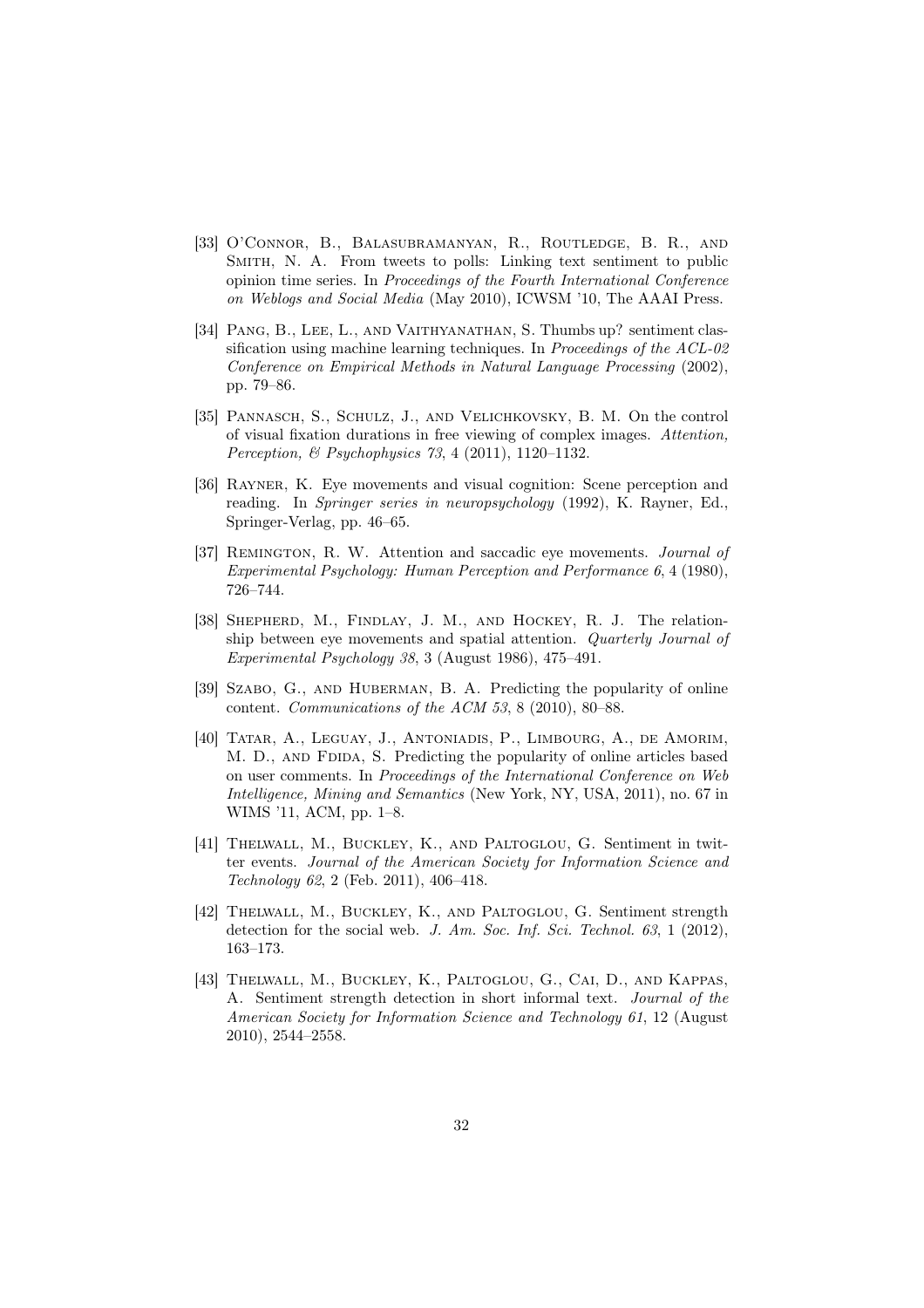- [33] O'Connor, B., Balasubramanyan, R., Routledge, B. R., and Smith, N. A. From tweets to polls: Linking text sentiment to public opinion time series. In *Proceedings of the Fourth International Conference on Weblogs and Social Media* (May 2010), ICWSM '10, The AAAI Press.
- [34] Pang, B., Lee, L., and Vaithyanathan, S. Thumbs up? sentiment classification using machine learning techniques. In *Proceedings of the ACL-02 Conference on Empirical Methods in Natural Language Processing* (2002), pp. 79–86.
- [35] PANNASCH, S., SCHULZ, J., AND VELICHKOVSKY, B. M. On the control of visual fixation durations in free viewing of complex images. *Attention, Perception, & Psychophysics 73*, 4 (2011), 1120–1132.
- [36] RAYNER, K. Eye movements and visual cognition: Scene perception and reading. In *Springer series in neuropsychology* (1992), K. Rayner, Ed., Springer-Verlag, pp. 46–65.
- [37] Remington, R. W. Attention and saccadic eye movements. *Journal of Experimental Psychology: Human Perception and Performance 6*, 4 (1980), 726–744.
- [38] SHEPHERD, M., FINDLAY, J. M., AND HOCKEY, R. J. The relationship between eye movements and spatial attention. *Quarterly Journal of Experimental Psychology 38*, 3 (August 1986), 475–491.
- [39] Szabo, G., and Huberman, B. A. Predicting the popularity of online content. *Communications of the ACM 53*, 8 (2010), 80–88.
- [40] TATAR, A., LEGUAY, J., ANTONIADIS, P., LIMBOURG, A., DE AMORIM, M. D., AND FDIDA, S. Predicting the popularity of online articles based on user comments. In *Proceedings of the International Conference on Web Intelligence, Mining and Semantics* (New York, NY, USA, 2011), no. 67 in WIMS '11, ACM, pp. 1–8.
- [41] Thelwall, M., Buckley, K., and Paltoglou, G. Sentiment in twitter events. *Journal of the American Society for Information Science and Technology 62*, 2 (Feb. 2011), 406–418.
- [42] Thelwall, M., Buckley, K., and Paltoglou, G. Sentiment strength detection for the social web. *J. Am. Soc. Inf. Sci. Technol. 63*, 1 (2012), 163–173.
- [43] Thelwall, M., Buckley, K., Paltoglou, G., Cai, D., and Kappas, A. Sentiment strength detection in short informal text. *Journal of the American Society for Information Science and Technology 61*, 12 (August 2010), 2544–2558.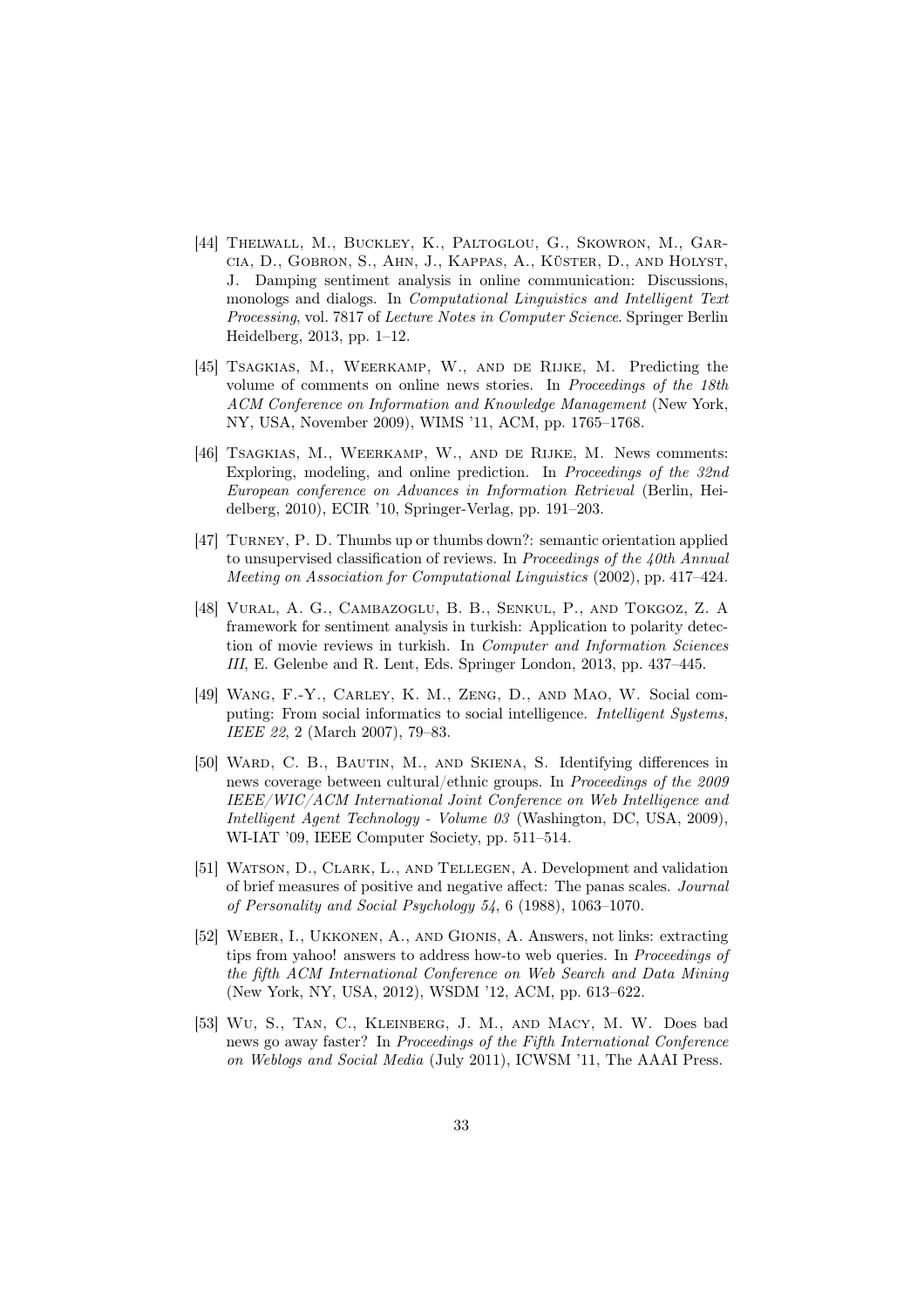- [44] Thelwall, M., Buckley, K., Paltoglou, G., Skowron, M., Garcia, D., Gobron, S., Ahn, J., Kappas, A., Küster, D., and Holyst, J. Damping sentiment analysis in online communication: Discussions, monologs and dialogs. In *Computational Linguistics and Intelligent Text Processing*, vol. 7817 of *Lecture Notes in Computer Science*. Springer Berlin Heidelberg, 2013, pp. 1–12.
- [45] Tsagkias, M., Weerkamp, W., and de Rijke, M. Predicting the volume of comments on online news stories. In *Proceedings of the 18th ACM Conference on Information and Knowledge Management* (New York, NY, USA, November 2009), WIMS '11, ACM, pp. 1765–1768.
- [46] TSAGKIAS, M., WEERKAMP, W., AND DE RIJKE, M. News comments: Exploring, modeling, and online prediction. In *Proceedings of the 32nd European conference on Advances in Information Retrieval* (Berlin, Heidelberg, 2010), ECIR '10, Springer-Verlag, pp. 191–203.
- [47] Turney, P. D. Thumbs up or thumbs down?: semantic orientation applied to unsupervised classification of reviews. In *Proceedings of the 40th Annual Meeting on Association for Computational Linguistics* (2002), pp. 417–424.
- [48] Vural, A. G., Cambazoglu, B. B., Senkul, P., and Tokgoz, Z. A framework for sentiment analysis in turkish: Application to polarity detection of movie reviews in turkish. In *Computer and Information Sciences III*, E. Gelenbe and R. Lent, Eds. Springer London, 2013, pp. 437–445.
- [49] Wang, F.-Y., Carley, K. M., Zeng, D., and Mao, W. Social computing: From social informatics to social intelligence. *Intelligent Systems, IEEE 22*, 2 (March 2007), 79–83.
- [50] Ward, C. B., Bautin, M., and Skiena, S. Identifying differences in news coverage between cultural/ethnic groups. In *Proceedings of the 2009 IEEE/WIC/ACM International Joint Conference on Web Intelligence and Intelligent Agent Technology - Volume 03* (Washington, DC, USA, 2009), WI-IAT '09, IEEE Computer Society, pp. 511–514.
- [51] WATSON, D., CLARK, L., AND TELLEGEN, A. Development and validation of brief measures of positive and negative affect: The panas scales. *Journal of Personality and Social Psychology 54*, 6 (1988), 1063–1070.
- [52] Weber, I., Ukkonen, A., and Gionis, A. Answers, not links: extracting tips from yahoo! answers to address how-to web queries. In *Proceedings of the fifth ACM International Conference on Web Search and Data Mining* (New York, NY, USA, 2012), WSDM '12, ACM, pp. 613–622.
- [53] Wu, S., Tan, C., Kleinberg, J. M., and Macy, M. W. Does bad news go away faster? In *Proceedings of the Fifth International Conference on Weblogs and Social Media* (July 2011), ICWSM '11, The AAAI Press.